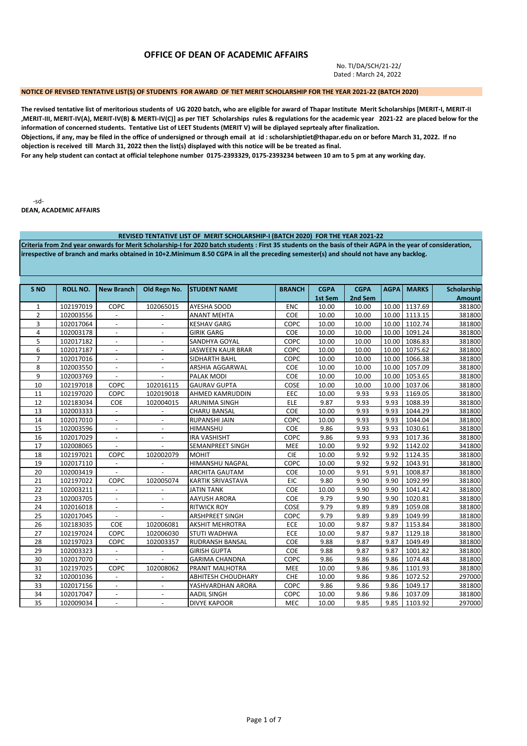# **OFFICE OF DEAN OF ACADEMIC AFFAIRS**

No. TI/DA/SCH/21-22/ Dated : March 24, 2022

## **NOTICE OF REVISED TENTATIVE LIST(S) OF STUDENTS FOR AWARD OF TIET MERIT SCHOLARSHIP FOR THE YEAR 2021-22 (BATCH 2020)**

**The revised tentative list of meritorious students of UG 2020 batch, who are eligible for award of Thapar Institute Merit Scholarships [MERIT-I, MERIT-II ,MERIT-III, MERIT-IV(A), MERIT-IV(B) & MERTI-IV(C)] as per TIET Scholarships rules & regulations for the academic year 2021-22 are placed below for the information of concerned students. Tentative List of LEET Students (MERIT V) will be diplayed seprtealy after finalization.** 

**Objections, if any, may be filed in the office of undersigned or through email at id : scholarshiptiet@thapar.edu on or before March 31, 2022. If no objection is received till March 31, 2022 then the list(s) displayed with this notice will be be treated as final.** 

**For any help student can contact at official telephone number 0175-2393329, 0175-2393234 between 10 am to 5 pm at any working day.** 

-sd-

**DEAN, ACADEMIC AFFAIRS**

|                 |                                                                                                                                                                                                                                                                                                       |                          |                          | REVISED TENTATIVE LIST OF MERIT SCHOLARSHIP-I (BATCH 2020) FOR THE YEAR 2021-22 |               |             |             |             |               |               |  |  |
|-----------------|-------------------------------------------------------------------------------------------------------------------------------------------------------------------------------------------------------------------------------------------------------------------------------------------------------|--------------------------|--------------------------|---------------------------------------------------------------------------------|---------------|-------------|-------------|-------------|---------------|---------------|--|--|
|                 | Criteria from 2nd year onwards for Merit Scholarship-I for 2020 batch students : First 35 students on the basis of their AGPA in the year of consideration,<br>irrespective of branch and marks obtained in 10+2. Minimum 8.50 CGPA in all the preceding semester(s) and should not have any backlog. |                          |                          |                                                                                 |               |             |             |             |               |               |  |  |
|                 |                                                                                                                                                                                                                                                                                                       |                          |                          |                                                                                 |               |             |             |             |               |               |  |  |
|                 |                                                                                                                                                                                                                                                                                                       |                          |                          |                                                                                 |               |             |             |             |               |               |  |  |
|                 |                                                                                                                                                                                                                                                                                                       |                          |                          |                                                                                 |               |             |             |             |               |               |  |  |
|                 |                                                                                                                                                                                                                                                                                                       |                          |                          |                                                                                 |               |             |             |             |               |               |  |  |
| S <sub>NO</sub> | <b>ROLL NO.</b>                                                                                                                                                                                                                                                                                       | <b>New Branch</b>        | Old Regn No.             | <b>STUDENT NAME</b>                                                             | <b>BRANCH</b> | <b>CGPA</b> | <b>CGPA</b> | <b>AGPA</b> | <b>MARKS</b>  | Scholarship   |  |  |
|                 |                                                                                                                                                                                                                                                                                                       |                          |                          |                                                                                 |               | 1st Sem     | 2nd Sem     |             |               | <b>Amount</b> |  |  |
| $\mathbf{1}$    | 102197019                                                                                                                                                                                                                                                                                             | <b>COPC</b>              | 102065015                | AYESHA SOOD                                                                     | <b>ENC</b>    | 10.00       | 10.00       | 10.00       | 1137.69       | 381800        |  |  |
| $\overline{2}$  | 102003556                                                                                                                                                                                                                                                                                             | $\overline{\phantom{a}}$ |                          | <b>ANANT MEHTA</b>                                                              | COE           | 10.00       | 10.00       |             | 10.00 1113.15 | 381800        |  |  |
| 3               | 102017064                                                                                                                                                                                                                                                                                             | $\blacksquare$           | $\overline{a}$           | <b>KESHAV GARG</b>                                                              | COPC          | 10.00       | 10.00       |             | 10.00 1102.74 | 381800        |  |  |
| 4               | 102003178                                                                                                                                                                                                                                                                                             |                          |                          | <b>GIRIK GARG</b>                                                               | COE           | 10.00       | 10.00       |             | 10.00 1091.24 | 381800        |  |  |
| 5               | 102017182                                                                                                                                                                                                                                                                                             | $\blacksquare$           | $\overline{\phantom{a}}$ | SANDHYA GOYAL                                                                   | COPC          | 10.00       | 10.00       |             | 10.00 1086.83 | 381800        |  |  |
| 6               | 102017187                                                                                                                                                                                                                                                                                             | $\overline{\phantom{a}}$ | $\overline{\phantom{a}}$ | <b>JASWEEN KAUR BRAR</b>                                                        | COPC          | 10.00       | 10.00       |             | 10.00 1075.62 | 381800        |  |  |
| $\overline{7}$  | 102017016                                                                                                                                                                                                                                                                                             | $\blacksquare$           | $\blacksquare$           | SIDHARTH BAHL                                                                   | COPC          | 10.00       | 10.00       |             | 10.00 1066.38 | 381800        |  |  |
| 8               | 102003550                                                                                                                                                                                                                                                                                             | $\blacksquare$           |                          | ARSHIA AGGARWAL                                                                 | COE           | 10.00       | 10.00       |             | 10.00 1057.09 | 381800        |  |  |
| 9               | 102003769                                                                                                                                                                                                                                                                                             | $\blacksquare$           | $\overline{a}$           | PALAK MODI                                                                      | COE           | 10.00       | 10.00       |             | 10.00 1053.65 | 381800        |  |  |
| 10              | 102197018                                                                                                                                                                                                                                                                                             | COPC                     | 102016115                | <b>GAURAV GUPTA</b>                                                             | COSE          | 10.00       | 10.00       |             | 10.00 1037.06 | 381800        |  |  |
| 11              | 102197020                                                                                                                                                                                                                                                                                             | COPC                     | 102019018                | AHMED KAMRUDDIN                                                                 | EEC           | 10.00       | 9.93        | 9.93        | 1169.05       | 381800        |  |  |
| 12              | 102183034                                                                                                                                                                                                                                                                                             | <b>COE</b>               | 102004015                | ARUNIMA SINGH                                                                   | ELE           | 9.87        | 9.93        | 9.93        | 1088.39       | 381800        |  |  |
| 13              | 102003333                                                                                                                                                                                                                                                                                             | $\blacksquare$           | $\overline{\phantom{a}}$ | CHARU BANSAL                                                                    | COE           | 10.00       | 9.93        | 9.93        | 1044.29       | 381800        |  |  |
| 14              | 102017010                                                                                                                                                                                                                                                                                             | $\overline{\phantom{a}}$ | $\overline{\phantom{a}}$ | RUPANSHI JAIN                                                                   | COPC          | 10.00       | 9.93        | 9.93        | 1044.04       | 381800        |  |  |
| 15              | 102003596                                                                                                                                                                                                                                                                                             | $\blacksquare$           | $\blacksquare$           | HIMANSHU                                                                        | COE           | 9.86        | 9.93        | 9.93        | 1030.61       | 381800        |  |  |
| 16              | 102017029                                                                                                                                                                                                                                                                                             |                          |                          | <b>IRA VASHISHT</b>                                                             | COPC          | 9.86        | 9.93        | 9.93        | 1017.36       | 381800        |  |  |
| 17              | 102008065                                                                                                                                                                                                                                                                                             | $\blacksquare$           | $\overline{a}$           | SEMANPREET SINGH                                                                | <b>MEE</b>    | 10.00       | 9.92        | 9.92        | 1142.02       | 341800        |  |  |
| 18              | 102197021                                                                                                                                                                                                                                                                                             | COPC                     | 102002079                | <b>MOHIT</b>                                                                    | <b>CIE</b>    | 10.00       | 9.92        | 9.92        | 1124.35       | 381800        |  |  |
| 19              | 102017110                                                                                                                                                                                                                                                                                             | $\overline{\phantom{a}}$ | $\overline{\phantom{a}}$ | HIMANSHU NAGPAL                                                                 | COPC          | 10.00       | 9.92        | 9.92        | 1043.91       | 381800        |  |  |
| 20              | 102003419                                                                                                                                                                                                                                                                                             |                          |                          | <b>ARCHITA GAUTAM</b>                                                           | <b>COE</b>    | 10.00       | 9.91        | 9.91        | 1008.87       | 381800        |  |  |
| 21              | 102197022                                                                                                                                                                                                                                                                                             | COPC                     | 102005074                | <b>KARTIK SRIVASTAVA</b>                                                        | <b>EIC</b>    | 9.80        | 9.90        | 9.90        | 1092.99       | 381800        |  |  |
| 22              | 102003211                                                                                                                                                                                                                                                                                             | $\overline{\phantom{a}}$ |                          | <b>JATIN TANK</b>                                                               | <b>COE</b>    | 10.00       | 9.90        | 9.90        | 1041.42       | 381800        |  |  |
| 23              | 102003705                                                                                                                                                                                                                                                                                             | $\overline{\phantom{a}}$ | $\blacksquare$           | AAYUSH ARORA                                                                    | COE           | 9.79        | 9.90        | 9.90        | 1020.81       | 381800        |  |  |
| 24              | 102016018                                                                                                                                                                                                                                                                                             | $\overline{\phantom{a}}$ |                          | <b>RITWICK ROY</b>                                                              | COSE          | 9.79        | 9.89        | 9.89        | 1059.08       | 381800        |  |  |
| 25              | 102017045                                                                                                                                                                                                                                                                                             | $\blacksquare$           |                          | ARSHPREET SINGH                                                                 | COPC          | 9.79        | 9.89        | 9.89        | 1049.99       | 381800        |  |  |
| 26              | 102183035                                                                                                                                                                                                                                                                                             | COE                      | 102006081                | <b>AKSHIT MEHROTRA</b>                                                          | ECE           | 10.00       | 9.87        | 9.87        | 1153.84       | 381800        |  |  |
| 27              | 102197024                                                                                                                                                                                                                                                                                             | COPC                     | 102006030                | STUTI WADHWA                                                                    | ECE           | 10.00       | 9.87        | 9.87        | 1129.18       | 381800        |  |  |
| 28              | 102197023                                                                                                                                                                                                                                                                                             | COPC                     | 102003357                | RUDRANSH BANSAL                                                                 | COE           | 9.88        | 9.87        | 9.87        | 1049.49       | 381800        |  |  |
| 29              | 102003323                                                                                                                                                                                                                                                                                             | $\blacksquare$           | $\overline{\phantom{a}}$ | <b>GIRISH GUPTA</b>                                                             | <b>COE</b>    | 9.88        | 9.87        | 9.87        | 1001.82       | 381800        |  |  |
| 30              | 102017070                                                                                                                                                                                                                                                                                             | $\overline{\phantom{a}}$ |                          | <b>GARIMA CHANDNA</b>                                                           | COPC          | 9.86        | 9.86        | 9.86        | 1074.48       | 381800        |  |  |
| 31              | 102197025                                                                                                                                                                                                                                                                                             | COPC                     | 102008062                | PRANIT MALHOTRA                                                                 | MEE           | 10.00       | 9.86        | 9.86        | 1101.93       | 381800        |  |  |
| 32              | 102001036                                                                                                                                                                                                                                                                                             |                          |                          | <b>ABHITESH CHOUDHARY</b>                                                       | CHE           | 10.00       | 9.86        | 9.86        | 1072.52       | 297000        |  |  |
| 33              | 102017156                                                                                                                                                                                                                                                                                             | $\blacksquare$           | $\overline{\phantom{a}}$ | YASHVARDHAN ARORA                                                               | COPC          | 9.86        | 9.86        | 9.86        | 1049.17       | 381800        |  |  |
| 34              | 102017047                                                                                                                                                                                                                                                                                             | $\overline{\phantom{a}}$ | $\overline{\phantom{a}}$ | <b>AADIL SINGH</b>                                                              | COPC          | 10.00       | 9.86        | 9.86        | 1037.09       | 381800        |  |  |
| 35              | 102009034                                                                                                                                                                                                                                                                                             | $\blacksquare$           | $\overline{\phantom{a}}$ | <b>DIVYE KAPOOR</b>                                                             | <b>MEC</b>    | 10.00       | 9.85        | 9.85        | 1103.92       | 297000        |  |  |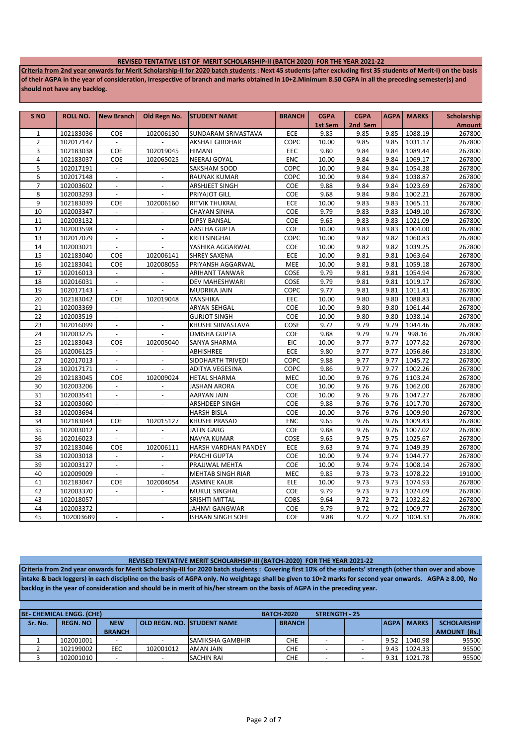#### **REVISED TENTATIVE LIST OF MERIT SCHOLARSHIP-II (BATCH 2020) FOR THE YEAR 2021-22**

**Criteria from 2nd year onwards for Merit Scholarship-II for 2020 batch students : Next 45 students (after excluding first 35 students of Merit-I) on the basis of their AGPA in the year of consideration, irrespective of branch and marks obtained in 10+2.Minimum 8.50 CGPA in all the preceding semester(s) and should not have any backlog.**

| 102183036<br>9.85<br>9.85<br>9.85<br>1088.19<br>267800<br>$\mathbf{1}$<br>COE<br>102006130<br>SUNDARAM SRIVASTAVA<br>ECE<br>267800<br>$\overline{2}$<br>102017147<br><b>AKSHAT GIRDHAR</b><br>COPC<br>10.00<br>9.85<br>9.85<br>1031.17<br>$\overline{a}$<br>3<br>COE<br>102019045<br>9.84<br>1089.44<br>102183038<br><b>HIMANI</b><br>EEC<br>9.80<br>9.84<br>267800<br>4<br>102183037<br><b>NEERAJ GOYAL</b><br>ENC<br>10.00<br>9.84<br>1069.17<br>267800<br>COE<br>102065025<br>9.84<br>5<br>102017191<br>SAKSHAM SOOD<br>COPC<br>10.00<br>9.84<br>9.84<br>1054.38<br>267800<br>$\blacksquare$<br>$\overline{\phantom{a}}$<br>6<br>102017148<br>10.00<br>9.84<br>1038.87<br>267800<br><b>RAUNAK KUMAR</b><br>COPC<br>9.84<br>$\blacksquare$<br>$\overline{\phantom{a}}$<br>102003602<br>COE<br>9.88<br>9.84<br>1023.69<br>267800<br>$\overline{7}$<br>ARSHJEET SINGH<br>9.84<br>$\overline{\phantom{a}}$<br>$\sim$<br>8<br>102003293<br>$\mathcal{L}$<br>PRIYAJOT GILL<br>COE<br>9.68<br>9.84<br>9.84<br>1002.21<br>267800<br>$\blacksquare$<br>9<br>1065.11<br>267800<br>102183039<br>COE<br>102006160<br><b>RITVIK THUKRAL</b><br>ECE<br>10.00<br>9.83<br>9.83<br>10<br>102003347<br>COE<br>9.79<br>9.83<br>1049.10<br>267800<br><b>CHAYAN SINHA</b><br>9.83<br>$\overline{\phantom{a}}$<br>11<br>102003132<br>COE<br>9.65<br>9.83<br>9.83<br>1021.09<br>267800<br><b>DIPSY BANSAL</b><br>$\blacksquare$<br>$\overline{\phantom{a}}$<br>12<br>COE<br>10.00<br>9.83<br>1004.00<br>267800<br>102003598<br><b>AASTHA GUPTA</b><br>9.83<br>$\overline{a}$<br>13<br>102017079<br>COPC<br>9.82<br>1060.83<br>267800<br><b>KRITI SINGHAL</b><br>10.00<br>9.82<br>$\blacksquare$<br>$\overline{\phantom{a}}$<br>14<br>COE<br>10.00<br>9.82<br>1039.25<br>267800<br>102003021<br>YASHIKA AGGARWAL<br>9.82<br>$\blacksquare$<br>$\Box$<br>15<br>9.81<br>1063.64<br>267800<br>102183040<br>COE<br>102006141<br><b>SHREY SAXENA</b><br>ECE<br>10.00<br>9.81<br>267800<br>16<br>102183041<br>COE<br>102008055<br>PRIYANSH AGGARWAL<br>MEE<br>10.00<br>9.81<br>9.81<br>1059.18<br>17<br>102016013<br>COSE<br>9.79<br>9.81<br>1054.94<br>267800<br><b>ARIHANT TANWAR</b><br>9.81<br>$\overline{\phantom{a}}$<br>18<br>9.79<br>9.81<br>1019.17<br>267800<br>102016031<br>DEV MAHESHWARI<br>COSE<br>9.81<br>$\overline{\phantom{a}}$<br>$\overline{\phantom{a}}$<br>19<br>102017143<br>9.77<br>9.81<br>1011.41<br>267800<br>MUDRIKA JAIN<br>COPC<br>9.81<br>$\blacksquare$<br>$\sim$<br>20<br>EEC<br>10.00<br>9.80<br>9.80<br>1088.83<br>267800<br>102183042<br>COE<br>102019048<br>YANSHIKA<br>10.00<br>9.80<br>1061.44<br>267800<br>21<br>102003369<br><b>ARYAN SEHGAL</b><br>COE<br>9.80<br>$\mathcal{L}$<br>$\overline{a}$<br>1038.14<br>22<br>102003519<br><b>GURJOT SINGH</b><br>COE<br>10.00<br>9.80<br>9.80<br>267800<br>$\mathbf{r}$<br>$\overline{a}$<br>23<br>102016099<br>KHUSHI SRIVASTAVA<br>9.72<br>9.79<br>1044.46<br>267800<br>COSE<br>9.79<br>$\overline{\phantom{a}}$<br>$\blacksquare$<br>24<br>COE<br>9.88<br>9.79<br>9.79<br>998.16<br>267800<br>102003275<br>OMISHA GUPTA<br>9.77<br>1077.82<br>267800<br>25<br>102183043<br>COE<br>102005040<br>SANYA SHARMA<br>EIC<br>10.00<br>9.77<br>ECE<br>9.80<br>9.77<br>231800<br>26<br>102006125<br>ABHISHREE<br>9.77<br>1056.86<br>$\blacksquare$<br>$\blacksquare$<br>27<br>102017013<br>COPC<br>9.88<br>9.77<br>9.77<br>1045.72<br>267800<br>$\mathbf{r}$<br>$\mathcal{L}$<br>SIDDHARTH TRIVEDI<br>9.77<br>102017171<br>COPC<br>9.86<br>9.77<br>1002.26<br>267800<br>28<br>$\mathbf{r}$<br>ADITYA VEGESINA<br>29<br>9.76<br>1103.24<br>102183045<br>COE<br><b>HETAL SHARMA</b><br><b>MEC</b><br>10.00<br>9.76<br>267800<br>102009024<br>9.76<br>267800<br>30<br>102003206<br><b>JASHAN ARORA</b><br>COE<br>10.00<br>9.76<br>1062.00<br>$\blacksquare$<br>$\overline{\phantom{a}}$<br>9.76<br>267800<br>31<br>102003541<br>COE<br>10.00<br>9.76<br>1047.27<br><b>AARYAN JAIN</b><br>$\overline{\phantom{a}}$<br>$\overline{\phantom{a}}$<br>32<br>COE<br>9.88<br>9.76<br>1017.70<br>267800<br>102003060<br>ARSHDEEP SINGH<br>9.76<br>$\blacksquare$<br>$\blacksquare$<br>9.76<br>1009.90<br>33<br>102003694<br>COE<br>10.00<br>9.76<br>267800<br><b>HARSH BISLA</b><br>$\sim$<br>$\overline{a}$<br>34<br>9.65<br>9.76<br>1009.43<br>267800<br>102183044<br><b>COE</b><br>102015127<br><b>KHUSHI PRASAD</b><br><b>ENC</b><br>9.76<br>9.76<br>35<br>102003012<br><b>JATIN GARG</b><br>COE<br>9.88<br>9.76<br>1007.02<br>267800<br>$\blacksquare$<br>$\overline{a}$<br>36<br>9.75<br>1025.67<br>102016023<br><b>NAVYA KUMAR</b><br>COSE<br>9.65<br>9.75<br>267800<br>37<br>ECE<br>9.63<br>9.74<br>9.74<br>1049.39<br>267800<br>102183046<br>COE<br>102006111<br>HARSH VARDHAN PANDEY<br>1044.77<br>38<br>102003018<br>PRACHI GUPTA<br>COE<br>10.00<br>9.74<br>9.74<br>267800<br>$\overline{\phantom{a}}$<br>$\blacksquare$<br>39<br>9.74<br>1008.14<br>267800<br>102003127<br>$\mathbb{L}^+$<br>$\mathbb{L}$<br>PRAJJWAL MEHTA<br>COE<br>10.00<br>9.74<br>40<br>102009009<br>9.85<br>9.73<br>1078.22<br>191000<br>MEHTAB SINGH RIAR<br><b>MEC</b><br>9.73<br>$\blacksquare$<br>$\overline{\phantom{a}}$<br>41<br>102183047<br><b>JASMINE KAUR</b><br>ELE<br>10.00<br>9.73<br>9.73<br>1074.93<br><b>COE</b><br>102004054<br>9.79<br>267800<br>42<br>102003370<br>MUKUL SINGHAL<br>COE<br>9.73<br>9.73<br>1024.09<br>$\overline{\phantom{a}}$<br>43<br>9.64<br>9.72<br>267800<br>102018057<br><b>SRISHTI MITTAL</b><br>COBS<br>9.72<br>1032.82<br>$\blacksquare$<br>$\blacksquare$<br>9.79<br>9.72<br>267800<br>44<br>COE<br>9.72<br>1009.77<br>102003372<br>JAHNVI GANGWAR<br>$\overline{\phantom{a}}$<br>$\overline{\phantom{a}}$ | S <sub>NO</sub> | <b>ROLL NO.</b> | <b>New Branch</b> | Old Regn No. | <b>STUDENT NAME</b>      | <b>BRANCH</b> | <b>CGPA</b> | <b>CGPA</b> | <b>AGPA</b> | <b>MARKS</b> | Scholarship   |
|------------------------------------------------------------------------------------------------------------------------------------------------------------------------------------------------------------------------------------------------------------------------------------------------------------------------------------------------------------------------------------------------------------------------------------------------------------------------------------------------------------------------------------------------------------------------------------------------------------------------------------------------------------------------------------------------------------------------------------------------------------------------------------------------------------------------------------------------------------------------------------------------------------------------------------------------------------------------------------------------------------------------------------------------------------------------------------------------------------------------------------------------------------------------------------------------------------------------------------------------------------------------------------------------------------------------------------------------------------------------------------------------------------------------------------------------------------------------------------------------------------------------------------------------------------------------------------------------------------------------------------------------------------------------------------------------------------------------------------------------------------------------------------------------------------------------------------------------------------------------------------------------------------------------------------------------------------------------------------------------------------------------------------------------------------------------------------------------------------------------------------------------------------------------------------------------------------------------------------------------------------------------------------------------------------------------------------------------------------------------------------------------------------------------------------------------------------------------------------------------------------------------------------------------------------------------------------------------------------------------------------------------------------------------------------------------------------------------------------------------------------------------------------------------------------------------------------------------------------------------------------------------------------------------------------------------------------------------------------------------------------------------------------------------------------------------------------------------------------------------------------------------------------------------------------------------------------------------------------------------------------------------------------------------------------------------------------------------------------------------------------------------------------------------------------------------------------------------------------------------------------------------------------------------------------------------------------------------------------------------------------------------------------------------------------------------------------------------------------------------------------------------------------------------------------------------------------------------------------------------------------------------------------------------------------------------------------------------------------------------------------------------------------------------------------------------------------------------------------------------------------------------------------------------------------------------------------------------------------------------------------------------------------------------------------------------------------------------------------------------------------------------------------------------------------------------------------------------------------------------------------------------------------------------------------------------------------------------------------------------------------------------------------------------------------------------------------------------------------------------------------------------------------------------------------------------------------------------------------------------------------------------------------------------------------------------------------------------------------------------------------------------------------------------------------------------------------------------------------------------------------------------------------------------------------------------------------------------------------------------------------------------------------------------------------------------------------------------------------------------------------------------------------------------------------------------------------------------------------------------------------------------------------------------------------------------------------------------------------------------------------------------------------------------------------|-----------------|-----------------|-------------------|--------------|--------------------------|---------------|-------------|-------------|-------------|--------------|---------------|
| 267800                                                                                                                                                                                                                                                                                                                                                                                                                                                                                                                                                                                                                                                                                                                                                                                                                                                                                                                                                                                                                                                                                                                                                                                                                                                                                                                                                                                                                                                                                                                                                                                                                                                                                                                                                                                                                                                                                                                                                                                                                                                                                                                                                                                                                                                                                                                                                                                                                                                                                                                                                                                                                                                                                                                                                                                                                                                                                                                                                                                                                                                                                                                                                                                                                                                                                                                                                                                                                                                                                                                                                                                                                                                                                                                                                                                                                                                                                                                                                                                                                                                                                                                                                                                                                                                                                                                                                                                                                                                                                                                                                                                                                                                                                                                                                                                                                                                                                                                                                                                                                                                                                                                                                                                                                                                                                                                                                                                                                                                                                                                                                                                                                                                                             |                 |                 |                   |              |                          |               | 1st Sem     | 2nd Sem     |             |              | <b>Amount</b> |
|                                                                                                                                                                                                                                                                                                                                                                                                                                                                                                                                                                                                                                                                                                                                                                                                                                                                                                                                                                                                                                                                                                                                                                                                                                                                                                                                                                                                                                                                                                                                                                                                                                                                                                                                                                                                                                                                                                                                                                                                                                                                                                                                                                                                                                                                                                                                                                                                                                                                                                                                                                                                                                                                                                                                                                                                                                                                                                                                                                                                                                                                                                                                                                                                                                                                                                                                                                                                                                                                                                                                                                                                                                                                                                                                                                                                                                                                                                                                                                                                                                                                                                                                                                                                                                                                                                                                                                                                                                                                                                                                                                                                                                                                                                                                                                                                                                                                                                                                                                                                                                                                                                                                                                                                                                                                                                                                                                                                                                                                                                                                                                                                                                                                                    |                 |                 |                   |              |                          |               |             |             |             |              |               |
|                                                                                                                                                                                                                                                                                                                                                                                                                                                                                                                                                                                                                                                                                                                                                                                                                                                                                                                                                                                                                                                                                                                                                                                                                                                                                                                                                                                                                                                                                                                                                                                                                                                                                                                                                                                                                                                                                                                                                                                                                                                                                                                                                                                                                                                                                                                                                                                                                                                                                                                                                                                                                                                                                                                                                                                                                                                                                                                                                                                                                                                                                                                                                                                                                                                                                                                                                                                                                                                                                                                                                                                                                                                                                                                                                                                                                                                                                                                                                                                                                                                                                                                                                                                                                                                                                                                                                                                                                                                                                                                                                                                                                                                                                                                                                                                                                                                                                                                                                                                                                                                                                                                                                                                                                                                                                                                                                                                                                                                                                                                                                                                                                                                                                    |                 |                 |                   |              |                          |               |             |             |             |              |               |
|                                                                                                                                                                                                                                                                                                                                                                                                                                                                                                                                                                                                                                                                                                                                                                                                                                                                                                                                                                                                                                                                                                                                                                                                                                                                                                                                                                                                                                                                                                                                                                                                                                                                                                                                                                                                                                                                                                                                                                                                                                                                                                                                                                                                                                                                                                                                                                                                                                                                                                                                                                                                                                                                                                                                                                                                                                                                                                                                                                                                                                                                                                                                                                                                                                                                                                                                                                                                                                                                                                                                                                                                                                                                                                                                                                                                                                                                                                                                                                                                                                                                                                                                                                                                                                                                                                                                                                                                                                                                                                                                                                                                                                                                                                                                                                                                                                                                                                                                                                                                                                                                                                                                                                                                                                                                                                                                                                                                                                                                                                                                                                                                                                                                                    |                 |                 |                   |              |                          |               |             |             |             |              |               |
|                                                                                                                                                                                                                                                                                                                                                                                                                                                                                                                                                                                                                                                                                                                                                                                                                                                                                                                                                                                                                                                                                                                                                                                                                                                                                                                                                                                                                                                                                                                                                                                                                                                                                                                                                                                                                                                                                                                                                                                                                                                                                                                                                                                                                                                                                                                                                                                                                                                                                                                                                                                                                                                                                                                                                                                                                                                                                                                                                                                                                                                                                                                                                                                                                                                                                                                                                                                                                                                                                                                                                                                                                                                                                                                                                                                                                                                                                                                                                                                                                                                                                                                                                                                                                                                                                                                                                                                                                                                                                                                                                                                                                                                                                                                                                                                                                                                                                                                                                                                                                                                                                                                                                                                                                                                                                                                                                                                                                                                                                                                                                                                                                                                                                    |                 |                 |                   |              |                          |               |             |             |             |              |               |
|                                                                                                                                                                                                                                                                                                                                                                                                                                                                                                                                                                                                                                                                                                                                                                                                                                                                                                                                                                                                                                                                                                                                                                                                                                                                                                                                                                                                                                                                                                                                                                                                                                                                                                                                                                                                                                                                                                                                                                                                                                                                                                                                                                                                                                                                                                                                                                                                                                                                                                                                                                                                                                                                                                                                                                                                                                                                                                                                                                                                                                                                                                                                                                                                                                                                                                                                                                                                                                                                                                                                                                                                                                                                                                                                                                                                                                                                                                                                                                                                                                                                                                                                                                                                                                                                                                                                                                                                                                                                                                                                                                                                                                                                                                                                                                                                                                                                                                                                                                                                                                                                                                                                                                                                                                                                                                                                                                                                                                                                                                                                                                                                                                                                                    |                 |                 |                   |              |                          |               |             |             |             |              |               |
|                                                                                                                                                                                                                                                                                                                                                                                                                                                                                                                                                                                                                                                                                                                                                                                                                                                                                                                                                                                                                                                                                                                                                                                                                                                                                                                                                                                                                                                                                                                                                                                                                                                                                                                                                                                                                                                                                                                                                                                                                                                                                                                                                                                                                                                                                                                                                                                                                                                                                                                                                                                                                                                                                                                                                                                                                                                                                                                                                                                                                                                                                                                                                                                                                                                                                                                                                                                                                                                                                                                                                                                                                                                                                                                                                                                                                                                                                                                                                                                                                                                                                                                                                                                                                                                                                                                                                                                                                                                                                                                                                                                                                                                                                                                                                                                                                                                                                                                                                                                                                                                                                                                                                                                                                                                                                                                                                                                                                                                                                                                                                                                                                                                                                    |                 |                 |                   |              |                          |               |             |             |             |              |               |
|                                                                                                                                                                                                                                                                                                                                                                                                                                                                                                                                                                                                                                                                                                                                                                                                                                                                                                                                                                                                                                                                                                                                                                                                                                                                                                                                                                                                                                                                                                                                                                                                                                                                                                                                                                                                                                                                                                                                                                                                                                                                                                                                                                                                                                                                                                                                                                                                                                                                                                                                                                                                                                                                                                                                                                                                                                                                                                                                                                                                                                                                                                                                                                                                                                                                                                                                                                                                                                                                                                                                                                                                                                                                                                                                                                                                                                                                                                                                                                                                                                                                                                                                                                                                                                                                                                                                                                                                                                                                                                                                                                                                                                                                                                                                                                                                                                                                                                                                                                                                                                                                                                                                                                                                                                                                                                                                                                                                                                                                                                                                                                                                                                                                                    |                 |                 |                   |              |                          |               |             |             |             |              |               |
|                                                                                                                                                                                                                                                                                                                                                                                                                                                                                                                                                                                                                                                                                                                                                                                                                                                                                                                                                                                                                                                                                                                                                                                                                                                                                                                                                                                                                                                                                                                                                                                                                                                                                                                                                                                                                                                                                                                                                                                                                                                                                                                                                                                                                                                                                                                                                                                                                                                                                                                                                                                                                                                                                                                                                                                                                                                                                                                                                                                                                                                                                                                                                                                                                                                                                                                                                                                                                                                                                                                                                                                                                                                                                                                                                                                                                                                                                                                                                                                                                                                                                                                                                                                                                                                                                                                                                                                                                                                                                                                                                                                                                                                                                                                                                                                                                                                                                                                                                                                                                                                                                                                                                                                                                                                                                                                                                                                                                                                                                                                                                                                                                                                                                    |                 |                 |                   |              |                          |               |             |             |             |              |               |
|                                                                                                                                                                                                                                                                                                                                                                                                                                                                                                                                                                                                                                                                                                                                                                                                                                                                                                                                                                                                                                                                                                                                                                                                                                                                                                                                                                                                                                                                                                                                                                                                                                                                                                                                                                                                                                                                                                                                                                                                                                                                                                                                                                                                                                                                                                                                                                                                                                                                                                                                                                                                                                                                                                                                                                                                                                                                                                                                                                                                                                                                                                                                                                                                                                                                                                                                                                                                                                                                                                                                                                                                                                                                                                                                                                                                                                                                                                                                                                                                                                                                                                                                                                                                                                                                                                                                                                                                                                                                                                                                                                                                                                                                                                                                                                                                                                                                                                                                                                                                                                                                                                                                                                                                                                                                                                                                                                                                                                                                                                                                                                                                                                                                                    |                 |                 |                   |              |                          |               |             |             |             |              |               |
|                                                                                                                                                                                                                                                                                                                                                                                                                                                                                                                                                                                                                                                                                                                                                                                                                                                                                                                                                                                                                                                                                                                                                                                                                                                                                                                                                                                                                                                                                                                                                                                                                                                                                                                                                                                                                                                                                                                                                                                                                                                                                                                                                                                                                                                                                                                                                                                                                                                                                                                                                                                                                                                                                                                                                                                                                                                                                                                                                                                                                                                                                                                                                                                                                                                                                                                                                                                                                                                                                                                                                                                                                                                                                                                                                                                                                                                                                                                                                                                                                                                                                                                                                                                                                                                                                                                                                                                                                                                                                                                                                                                                                                                                                                                                                                                                                                                                                                                                                                                                                                                                                                                                                                                                                                                                                                                                                                                                                                                                                                                                                                                                                                                                                    |                 |                 |                   |              |                          |               |             |             |             |              |               |
|                                                                                                                                                                                                                                                                                                                                                                                                                                                                                                                                                                                                                                                                                                                                                                                                                                                                                                                                                                                                                                                                                                                                                                                                                                                                                                                                                                                                                                                                                                                                                                                                                                                                                                                                                                                                                                                                                                                                                                                                                                                                                                                                                                                                                                                                                                                                                                                                                                                                                                                                                                                                                                                                                                                                                                                                                                                                                                                                                                                                                                                                                                                                                                                                                                                                                                                                                                                                                                                                                                                                                                                                                                                                                                                                                                                                                                                                                                                                                                                                                                                                                                                                                                                                                                                                                                                                                                                                                                                                                                                                                                                                                                                                                                                                                                                                                                                                                                                                                                                                                                                                                                                                                                                                                                                                                                                                                                                                                                                                                                                                                                                                                                                                                    |                 |                 |                   |              |                          |               |             |             |             |              |               |
|                                                                                                                                                                                                                                                                                                                                                                                                                                                                                                                                                                                                                                                                                                                                                                                                                                                                                                                                                                                                                                                                                                                                                                                                                                                                                                                                                                                                                                                                                                                                                                                                                                                                                                                                                                                                                                                                                                                                                                                                                                                                                                                                                                                                                                                                                                                                                                                                                                                                                                                                                                                                                                                                                                                                                                                                                                                                                                                                                                                                                                                                                                                                                                                                                                                                                                                                                                                                                                                                                                                                                                                                                                                                                                                                                                                                                                                                                                                                                                                                                                                                                                                                                                                                                                                                                                                                                                                                                                                                                                                                                                                                                                                                                                                                                                                                                                                                                                                                                                                                                                                                                                                                                                                                                                                                                                                                                                                                                                                                                                                                                                                                                                                                                    |                 |                 |                   |              |                          |               |             |             |             |              |               |
|                                                                                                                                                                                                                                                                                                                                                                                                                                                                                                                                                                                                                                                                                                                                                                                                                                                                                                                                                                                                                                                                                                                                                                                                                                                                                                                                                                                                                                                                                                                                                                                                                                                                                                                                                                                                                                                                                                                                                                                                                                                                                                                                                                                                                                                                                                                                                                                                                                                                                                                                                                                                                                                                                                                                                                                                                                                                                                                                                                                                                                                                                                                                                                                                                                                                                                                                                                                                                                                                                                                                                                                                                                                                                                                                                                                                                                                                                                                                                                                                                                                                                                                                                                                                                                                                                                                                                                                                                                                                                                                                                                                                                                                                                                                                                                                                                                                                                                                                                                                                                                                                                                                                                                                                                                                                                                                                                                                                                                                                                                                                                                                                                                                                                    |                 |                 |                   |              |                          |               |             |             |             |              |               |
|                                                                                                                                                                                                                                                                                                                                                                                                                                                                                                                                                                                                                                                                                                                                                                                                                                                                                                                                                                                                                                                                                                                                                                                                                                                                                                                                                                                                                                                                                                                                                                                                                                                                                                                                                                                                                                                                                                                                                                                                                                                                                                                                                                                                                                                                                                                                                                                                                                                                                                                                                                                                                                                                                                                                                                                                                                                                                                                                                                                                                                                                                                                                                                                                                                                                                                                                                                                                                                                                                                                                                                                                                                                                                                                                                                                                                                                                                                                                                                                                                                                                                                                                                                                                                                                                                                                                                                                                                                                                                                                                                                                                                                                                                                                                                                                                                                                                                                                                                                                                                                                                                                                                                                                                                                                                                                                                                                                                                                                                                                                                                                                                                                                                                    |                 |                 |                   |              |                          |               |             |             |             |              |               |
|                                                                                                                                                                                                                                                                                                                                                                                                                                                                                                                                                                                                                                                                                                                                                                                                                                                                                                                                                                                                                                                                                                                                                                                                                                                                                                                                                                                                                                                                                                                                                                                                                                                                                                                                                                                                                                                                                                                                                                                                                                                                                                                                                                                                                                                                                                                                                                                                                                                                                                                                                                                                                                                                                                                                                                                                                                                                                                                                                                                                                                                                                                                                                                                                                                                                                                                                                                                                                                                                                                                                                                                                                                                                                                                                                                                                                                                                                                                                                                                                                                                                                                                                                                                                                                                                                                                                                                                                                                                                                                                                                                                                                                                                                                                                                                                                                                                                                                                                                                                                                                                                                                                                                                                                                                                                                                                                                                                                                                                                                                                                                                                                                                                                                    |                 |                 |                   |              |                          |               |             |             |             |              |               |
|                                                                                                                                                                                                                                                                                                                                                                                                                                                                                                                                                                                                                                                                                                                                                                                                                                                                                                                                                                                                                                                                                                                                                                                                                                                                                                                                                                                                                                                                                                                                                                                                                                                                                                                                                                                                                                                                                                                                                                                                                                                                                                                                                                                                                                                                                                                                                                                                                                                                                                                                                                                                                                                                                                                                                                                                                                                                                                                                                                                                                                                                                                                                                                                                                                                                                                                                                                                                                                                                                                                                                                                                                                                                                                                                                                                                                                                                                                                                                                                                                                                                                                                                                                                                                                                                                                                                                                                                                                                                                                                                                                                                                                                                                                                                                                                                                                                                                                                                                                                                                                                                                                                                                                                                                                                                                                                                                                                                                                                                                                                                                                                                                                                                                    |                 |                 |                   |              |                          |               |             |             |             |              |               |
|                                                                                                                                                                                                                                                                                                                                                                                                                                                                                                                                                                                                                                                                                                                                                                                                                                                                                                                                                                                                                                                                                                                                                                                                                                                                                                                                                                                                                                                                                                                                                                                                                                                                                                                                                                                                                                                                                                                                                                                                                                                                                                                                                                                                                                                                                                                                                                                                                                                                                                                                                                                                                                                                                                                                                                                                                                                                                                                                                                                                                                                                                                                                                                                                                                                                                                                                                                                                                                                                                                                                                                                                                                                                                                                                                                                                                                                                                                                                                                                                                                                                                                                                                                                                                                                                                                                                                                                                                                                                                                                                                                                                                                                                                                                                                                                                                                                                                                                                                                                                                                                                                                                                                                                                                                                                                                                                                                                                                                                                                                                                                                                                                                                                                    |                 |                 |                   |              |                          |               |             |             |             |              |               |
|                                                                                                                                                                                                                                                                                                                                                                                                                                                                                                                                                                                                                                                                                                                                                                                                                                                                                                                                                                                                                                                                                                                                                                                                                                                                                                                                                                                                                                                                                                                                                                                                                                                                                                                                                                                                                                                                                                                                                                                                                                                                                                                                                                                                                                                                                                                                                                                                                                                                                                                                                                                                                                                                                                                                                                                                                                                                                                                                                                                                                                                                                                                                                                                                                                                                                                                                                                                                                                                                                                                                                                                                                                                                                                                                                                                                                                                                                                                                                                                                                                                                                                                                                                                                                                                                                                                                                                                                                                                                                                                                                                                                                                                                                                                                                                                                                                                                                                                                                                                                                                                                                                                                                                                                                                                                                                                                                                                                                                                                                                                                                                                                                                                                                    |                 |                 |                   |              |                          |               |             |             |             |              |               |
|                                                                                                                                                                                                                                                                                                                                                                                                                                                                                                                                                                                                                                                                                                                                                                                                                                                                                                                                                                                                                                                                                                                                                                                                                                                                                                                                                                                                                                                                                                                                                                                                                                                                                                                                                                                                                                                                                                                                                                                                                                                                                                                                                                                                                                                                                                                                                                                                                                                                                                                                                                                                                                                                                                                                                                                                                                                                                                                                                                                                                                                                                                                                                                                                                                                                                                                                                                                                                                                                                                                                                                                                                                                                                                                                                                                                                                                                                                                                                                                                                                                                                                                                                                                                                                                                                                                                                                                                                                                                                                                                                                                                                                                                                                                                                                                                                                                                                                                                                                                                                                                                                                                                                                                                                                                                                                                                                                                                                                                                                                                                                                                                                                                                                    |                 |                 |                   |              |                          |               |             |             |             |              |               |
|                                                                                                                                                                                                                                                                                                                                                                                                                                                                                                                                                                                                                                                                                                                                                                                                                                                                                                                                                                                                                                                                                                                                                                                                                                                                                                                                                                                                                                                                                                                                                                                                                                                                                                                                                                                                                                                                                                                                                                                                                                                                                                                                                                                                                                                                                                                                                                                                                                                                                                                                                                                                                                                                                                                                                                                                                                                                                                                                                                                                                                                                                                                                                                                                                                                                                                                                                                                                                                                                                                                                                                                                                                                                                                                                                                                                                                                                                                                                                                                                                                                                                                                                                                                                                                                                                                                                                                                                                                                                                                                                                                                                                                                                                                                                                                                                                                                                                                                                                                                                                                                                                                                                                                                                                                                                                                                                                                                                                                                                                                                                                                                                                                                                                    |                 |                 |                   |              |                          |               |             |             |             |              |               |
|                                                                                                                                                                                                                                                                                                                                                                                                                                                                                                                                                                                                                                                                                                                                                                                                                                                                                                                                                                                                                                                                                                                                                                                                                                                                                                                                                                                                                                                                                                                                                                                                                                                                                                                                                                                                                                                                                                                                                                                                                                                                                                                                                                                                                                                                                                                                                                                                                                                                                                                                                                                                                                                                                                                                                                                                                                                                                                                                                                                                                                                                                                                                                                                                                                                                                                                                                                                                                                                                                                                                                                                                                                                                                                                                                                                                                                                                                                                                                                                                                                                                                                                                                                                                                                                                                                                                                                                                                                                                                                                                                                                                                                                                                                                                                                                                                                                                                                                                                                                                                                                                                                                                                                                                                                                                                                                                                                                                                                                                                                                                                                                                                                                                                    |                 |                 |                   |              |                          |               |             |             |             |              |               |
|                                                                                                                                                                                                                                                                                                                                                                                                                                                                                                                                                                                                                                                                                                                                                                                                                                                                                                                                                                                                                                                                                                                                                                                                                                                                                                                                                                                                                                                                                                                                                                                                                                                                                                                                                                                                                                                                                                                                                                                                                                                                                                                                                                                                                                                                                                                                                                                                                                                                                                                                                                                                                                                                                                                                                                                                                                                                                                                                                                                                                                                                                                                                                                                                                                                                                                                                                                                                                                                                                                                                                                                                                                                                                                                                                                                                                                                                                                                                                                                                                                                                                                                                                                                                                                                                                                                                                                                                                                                                                                                                                                                                                                                                                                                                                                                                                                                                                                                                                                                                                                                                                                                                                                                                                                                                                                                                                                                                                                                                                                                                                                                                                                                                                    |                 |                 |                   |              |                          |               |             |             |             |              |               |
|                                                                                                                                                                                                                                                                                                                                                                                                                                                                                                                                                                                                                                                                                                                                                                                                                                                                                                                                                                                                                                                                                                                                                                                                                                                                                                                                                                                                                                                                                                                                                                                                                                                                                                                                                                                                                                                                                                                                                                                                                                                                                                                                                                                                                                                                                                                                                                                                                                                                                                                                                                                                                                                                                                                                                                                                                                                                                                                                                                                                                                                                                                                                                                                                                                                                                                                                                                                                                                                                                                                                                                                                                                                                                                                                                                                                                                                                                                                                                                                                                                                                                                                                                                                                                                                                                                                                                                                                                                                                                                                                                                                                                                                                                                                                                                                                                                                                                                                                                                                                                                                                                                                                                                                                                                                                                                                                                                                                                                                                                                                                                                                                                                                                                    |                 |                 |                   |              |                          |               |             |             |             |              |               |
|                                                                                                                                                                                                                                                                                                                                                                                                                                                                                                                                                                                                                                                                                                                                                                                                                                                                                                                                                                                                                                                                                                                                                                                                                                                                                                                                                                                                                                                                                                                                                                                                                                                                                                                                                                                                                                                                                                                                                                                                                                                                                                                                                                                                                                                                                                                                                                                                                                                                                                                                                                                                                                                                                                                                                                                                                                                                                                                                                                                                                                                                                                                                                                                                                                                                                                                                                                                                                                                                                                                                                                                                                                                                                                                                                                                                                                                                                                                                                                                                                                                                                                                                                                                                                                                                                                                                                                                                                                                                                                                                                                                                                                                                                                                                                                                                                                                                                                                                                                                                                                                                                                                                                                                                                                                                                                                                                                                                                                                                                                                                                                                                                                                                                    |                 |                 |                   |              |                          |               |             |             |             |              |               |
|                                                                                                                                                                                                                                                                                                                                                                                                                                                                                                                                                                                                                                                                                                                                                                                                                                                                                                                                                                                                                                                                                                                                                                                                                                                                                                                                                                                                                                                                                                                                                                                                                                                                                                                                                                                                                                                                                                                                                                                                                                                                                                                                                                                                                                                                                                                                                                                                                                                                                                                                                                                                                                                                                                                                                                                                                                                                                                                                                                                                                                                                                                                                                                                                                                                                                                                                                                                                                                                                                                                                                                                                                                                                                                                                                                                                                                                                                                                                                                                                                                                                                                                                                                                                                                                                                                                                                                                                                                                                                                                                                                                                                                                                                                                                                                                                                                                                                                                                                                                                                                                                                                                                                                                                                                                                                                                                                                                                                                                                                                                                                                                                                                                                                    |                 |                 |                   |              |                          |               |             |             |             |              |               |
|                                                                                                                                                                                                                                                                                                                                                                                                                                                                                                                                                                                                                                                                                                                                                                                                                                                                                                                                                                                                                                                                                                                                                                                                                                                                                                                                                                                                                                                                                                                                                                                                                                                                                                                                                                                                                                                                                                                                                                                                                                                                                                                                                                                                                                                                                                                                                                                                                                                                                                                                                                                                                                                                                                                                                                                                                                                                                                                                                                                                                                                                                                                                                                                                                                                                                                                                                                                                                                                                                                                                                                                                                                                                                                                                                                                                                                                                                                                                                                                                                                                                                                                                                                                                                                                                                                                                                                                                                                                                                                                                                                                                                                                                                                                                                                                                                                                                                                                                                                                                                                                                                                                                                                                                                                                                                                                                                                                                                                                                                                                                                                                                                                                                                    |                 |                 |                   |              |                          |               |             |             |             |              |               |
|                                                                                                                                                                                                                                                                                                                                                                                                                                                                                                                                                                                                                                                                                                                                                                                                                                                                                                                                                                                                                                                                                                                                                                                                                                                                                                                                                                                                                                                                                                                                                                                                                                                                                                                                                                                                                                                                                                                                                                                                                                                                                                                                                                                                                                                                                                                                                                                                                                                                                                                                                                                                                                                                                                                                                                                                                                                                                                                                                                                                                                                                                                                                                                                                                                                                                                                                                                                                                                                                                                                                                                                                                                                                                                                                                                                                                                                                                                                                                                                                                                                                                                                                                                                                                                                                                                                                                                                                                                                                                                                                                                                                                                                                                                                                                                                                                                                                                                                                                                                                                                                                                                                                                                                                                                                                                                                                                                                                                                                                                                                                                                                                                                                                                    |                 |                 |                   |              |                          |               |             |             |             |              |               |
|                                                                                                                                                                                                                                                                                                                                                                                                                                                                                                                                                                                                                                                                                                                                                                                                                                                                                                                                                                                                                                                                                                                                                                                                                                                                                                                                                                                                                                                                                                                                                                                                                                                                                                                                                                                                                                                                                                                                                                                                                                                                                                                                                                                                                                                                                                                                                                                                                                                                                                                                                                                                                                                                                                                                                                                                                                                                                                                                                                                                                                                                                                                                                                                                                                                                                                                                                                                                                                                                                                                                                                                                                                                                                                                                                                                                                                                                                                                                                                                                                                                                                                                                                                                                                                                                                                                                                                                                                                                                                                                                                                                                                                                                                                                                                                                                                                                                                                                                                                                                                                                                                                                                                                                                                                                                                                                                                                                                                                                                                                                                                                                                                                                                                    |                 |                 |                   |              |                          |               |             |             |             |              |               |
|                                                                                                                                                                                                                                                                                                                                                                                                                                                                                                                                                                                                                                                                                                                                                                                                                                                                                                                                                                                                                                                                                                                                                                                                                                                                                                                                                                                                                                                                                                                                                                                                                                                                                                                                                                                                                                                                                                                                                                                                                                                                                                                                                                                                                                                                                                                                                                                                                                                                                                                                                                                                                                                                                                                                                                                                                                                                                                                                                                                                                                                                                                                                                                                                                                                                                                                                                                                                                                                                                                                                                                                                                                                                                                                                                                                                                                                                                                                                                                                                                                                                                                                                                                                                                                                                                                                                                                                                                                                                                                                                                                                                                                                                                                                                                                                                                                                                                                                                                                                                                                                                                                                                                                                                                                                                                                                                                                                                                                                                                                                                                                                                                                                                                    |                 |                 |                   |              |                          |               |             |             |             |              |               |
|                                                                                                                                                                                                                                                                                                                                                                                                                                                                                                                                                                                                                                                                                                                                                                                                                                                                                                                                                                                                                                                                                                                                                                                                                                                                                                                                                                                                                                                                                                                                                                                                                                                                                                                                                                                                                                                                                                                                                                                                                                                                                                                                                                                                                                                                                                                                                                                                                                                                                                                                                                                                                                                                                                                                                                                                                                                                                                                                                                                                                                                                                                                                                                                                                                                                                                                                                                                                                                                                                                                                                                                                                                                                                                                                                                                                                                                                                                                                                                                                                                                                                                                                                                                                                                                                                                                                                                                                                                                                                                                                                                                                                                                                                                                                                                                                                                                                                                                                                                                                                                                                                                                                                                                                                                                                                                                                                                                                                                                                                                                                                                                                                                                                                    |                 |                 |                   |              |                          |               |             |             |             |              |               |
|                                                                                                                                                                                                                                                                                                                                                                                                                                                                                                                                                                                                                                                                                                                                                                                                                                                                                                                                                                                                                                                                                                                                                                                                                                                                                                                                                                                                                                                                                                                                                                                                                                                                                                                                                                                                                                                                                                                                                                                                                                                                                                                                                                                                                                                                                                                                                                                                                                                                                                                                                                                                                                                                                                                                                                                                                                                                                                                                                                                                                                                                                                                                                                                                                                                                                                                                                                                                                                                                                                                                                                                                                                                                                                                                                                                                                                                                                                                                                                                                                                                                                                                                                                                                                                                                                                                                                                                                                                                                                                                                                                                                                                                                                                                                                                                                                                                                                                                                                                                                                                                                                                                                                                                                                                                                                                                                                                                                                                                                                                                                                                                                                                                                                    |                 |                 |                   |              |                          |               |             |             |             |              |               |
|                                                                                                                                                                                                                                                                                                                                                                                                                                                                                                                                                                                                                                                                                                                                                                                                                                                                                                                                                                                                                                                                                                                                                                                                                                                                                                                                                                                                                                                                                                                                                                                                                                                                                                                                                                                                                                                                                                                                                                                                                                                                                                                                                                                                                                                                                                                                                                                                                                                                                                                                                                                                                                                                                                                                                                                                                                                                                                                                                                                                                                                                                                                                                                                                                                                                                                                                                                                                                                                                                                                                                                                                                                                                                                                                                                                                                                                                                                                                                                                                                                                                                                                                                                                                                                                                                                                                                                                                                                                                                                                                                                                                                                                                                                                                                                                                                                                                                                                                                                                                                                                                                                                                                                                                                                                                                                                                                                                                                                                                                                                                                                                                                                                                                    |                 |                 |                   |              |                          |               |             |             |             |              |               |
|                                                                                                                                                                                                                                                                                                                                                                                                                                                                                                                                                                                                                                                                                                                                                                                                                                                                                                                                                                                                                                                                                                                                                                                                                                                                                                                                                                                                                                                                                                                                                                                                                                                                                                                                                                                                                                                                                                                                                                                                                                                                                                                                                                                                                                                                                                                                                                                                                                                                                                                                                                                                                                                                                                                                                                                                                                                                                                                                                                                                                                                                                                                                                                                                                                                                                                                                                                                                                                                                                                                                                                                                                                                                                                                                                                                                                                                                                                                                                                                                                                                                                                                                                                                                                                                                                                                                                                                                                                                                                                                                                                                                                                                                                                                                                                                                                                                                                                                                                                                                                                                                                                                                                                                                                                                                                                                                                                                                                                                                                                                                                                                                                                                                                    |                 |                 |                   |              |                          |               |             |             |             |              |               |
|                                                                                                                                                                                                                                                                                                                                                                                                                                                                                                                                                                                                                                                                                                                                                                                                                                                                                                                                                                                                                                                                                                                                                                                                                                                                                                                                                                                                                                                                                                                                                                                                                                                                                                                                                                                                                                                                                                                                                                                                                                                                                                                                                                                                                                                                                                                                                                                                                                                                                                                                                                                                                                                                                                                                                                                                                                                                                                                                                                                                                                                                                                                                                                                                                                                                                                                                                                                                                                                                                                                                                                                                                                                                                                                                                                                                                                                                                                                                                                                                                                                                                                                                                                                                                                                                                                                                                                                                                                                                                                                                                                                                                                                                                                                                                                                                                                                                                                                                                                                                                                                                                                                                                                                                                                                                                                                                                                                                                                                                                                                                                                                                                                                                                    |                 |                 |                   |              |                          |               |             |             |             |              |               |
|                                                                                                                                                                                                                                                                                                                                                                                                                                                                                                                                                                                                                                                                                                                                                                                                                                                                                                                                                                                                                                                                                                                                                                                                                                                                                                                                                                                                                                                                                                                                                                                                                                                                                                                                                                                                                                                                                                                                                                                                                                                                                                                                                                                                                                                                                                                                                                                                                                                                                                                                                                                                                                                                                                                                                                                                                                                                                                                                                                                                                                                                                                                                                                                                                                                                                                                                                                                                                                                                                                                                                                                                                                                                                                                                                                                                                                                                                                                                                                                                                                                                                                                                                                                                                                                                                                                                                                                                                                                                                                                                                                                                                                                                                                                                                                                                                                                                                                                                                                                                                                                                                                                                                                                                                                                                                                                                                                                                                                                                                                                                                                                                                                                                                    |                 |                 |                   |              |                          |               |             |             |             |              |               |
|                                                                                                                                                                                                                                                                                                                                                                                                                                                                                                                                                                                                                                                                                                                                                                                                                                                                                                                                                                                                                                                                                                                                                                                                                                                                                                                                                                                                                                                                                                                                                                                                                                                                                                                                                                                                                                                                                                                                                                                                                                                                                                                                                                                                                                                                                                                                                                                                                                                                                                                                                                                                                                                                                                                                                                                                                                                                                                                                                                                                                                                                                                                                                                                                                                                                                                                                                                                                                                                                                                                                                                                                                                                                                                                                                                                                                                                                                                                                                                                                                                                                                                                                                                                                                                                                                                                                                                                                                                                                                                                                                                                                                                                                                                                                                                                                                                                                                                                                                                                                                                                                                                                                                                                                                                                                                                                                                                                                                                                                                                                                                                                                                                                                                    |                 |                 |                   |              |                          |               |             |             |             |              |               |
|                                                                                                                                                                                                                                                                                                                                                                                                                                                                                                                                                                                                                                                                                                                                                                                                                                                                                                                                                                                                                                                                                                                                                                                                                                                                                                                                                                                                                                                                                                                                                                                                                                                                                                                                                                                                                                                                                                                                                                                                                                                                                                                                                                                                                                                                                                                                                                                                                                                                                                                                                                                                                                                                                                                                                                                                                                                                                                                                                                                                                                                                                                                                                                                                                                                                                                                                                                                                                                                                                                                                                                                                                                                                                                                                                                                                                                                                                                                                                                                                                                                                                                                                                                                                                                                                                                                                                                                                                                                                                                                                                                                                                                                                                                                                                                                                                                                                                                                                                                                                                                                                                                                                                                                                                                                                                                                                                                                                                                                                                                                                                                                                                                                                                    |                 |                 |                   |              |                          |               |             |             |             |              |               |
|                                                                                                                                                                                                                                                                                                                                                                                                                                                                                                                                                                                                                                                                                                                                                                                                                                                                                                                                                                                                                                                                                                                                                                                                                                                                                                                                                                                                                                                                                                                                                                                                                                                                                                                                                                                                                                                                                                                                                                                                                                                                                                                                                                                                                                                                                                                                                                                                                                                                                                                                                                                                                                                                                                                                                                                                                                                                                                                                                                                                                                                                                                                                                                                                                                                                                                                                                                                                                                                                                                                                                                                                                                                                                                                                                                                                                                                                                                                                                                                                                                                                                                                                                                                                                                                                                                                                                                                                                                                                                                                                                                                                                                                                                                                                                                                                                                                                                                                                                                                                                                                                                                                                                                                                                                                                                                                                                                                                                                                                                                                                                                                                                                                                                    |                 |                 |                   |              |                          |               |             |             |             |              |               |
|                                                                                                                                                                                                                                                                                                                                                                                                                                                                                                                                                                                                                                                                                                                                                                                                                                                                                                                                                                                                                                                                                                                                                                                                                                                                                                                                                                                                                                                                                                                                                                                                                                                                                                                                                                                                                                                                                                                                                                                                                                                                                                                                                                                                                                                                                                                                                                                                                                                                                                                                                                                                                                                                                                                                                                                                                                                                                                                                                                                                                                                                                                                                                                                                                                                                                                                                                                                                                                                                                                                                                                                                                                                                                                                                                                                                                                                                                                                                                                                                                                                                                                                                                                                                                                                                                                                                                                                                                                                                                                                                                                                                                                                                                                                                                                                                                                                                                                                                                                                                                                                                                                                                                                                                                                                                                                                                                                                                                                                                                                                                                                                                                                                                                    |                 |                 |                   |              |                          |               |             |             |             |              |               |
|                                                                                                                                                                                                                                                                                                                                                                                                                                                                                                                                                                                                                                                                                                                                                                                                                                                                                                                                                                                                                                                                                                                                                                                                                                                                                                                                                                                                                                                                                                                                                                                                                                                                                                                                                                                                                                                                                                                                                                                                                                                                                                                                                                                                                                                                                                                                                                                                                                                                                                                                                                                                                                                                                                                                                                                                                                                                                                                                                                                                                                                                                                                                                                                                                                                                                                                                                                                                                                                                                                                                                                                                                                                                                                                                                                                                                                                                                                                                                                                                                                                                                                                                                                                                                                                                                                                                                                                                                                                                                                                                                                                                                                                                                                                                                                                                                                                                                                                                                                                                                                                                                                                                                                                                                                                                                                                                                                                                                                                                                                                                                                                                                                                                                    |                 |                 |                   |              |                          |               |             |             |             |              |               |
|                                                                                                                                                                                                                                                                                                                                                                                                                                                                                                                                                                                                                                                                                                                                                                                                                                                                                                                                                                                                                                                                                                                                                                                                                                                                                                                                                                                                                                                                                                                                                                                                                                                                                                                                                                                                                                                                                                                                                                                                                                                                                                                                                                                                                                                                                                                                                                                                                                                                                                                                                                                                                                                                                                                                                                                                                                                                                                                                                                                                                                                                                                                                                                                                                                                                                                                                                                                                                                                                                                                                                                                                                                                                                                                                                                                                                                                                                                                                                                                                                                                                                                                                                                                                                                                                                                                                                                                                                                                                                                                                                                                                                                                                                                                                                                                                                                                                                                                                                                                                                                                                                                                                                                                                                                                                                                                                                                                                                                                                                                                                                                                                                                                                                    |                 |                 |                   |              |                          |               |             |             |             |              |               |
|                                                                                                                                                                                                                                                                                                                                                                                                                                                                                                                                                                                                                                                                                                                                                                                                                                                                                                                                                                                                                                                                                                                                                                                                                                                                                                                                                                                                                                                                                                                                                                                                                                                                                                                                                                                                                                                                                                                                                                                                                                                                                                                                                                                                                                                                                                                                                                                                                                                                                                                                                                                                                                                                                                                                                                                                                                                                                                                                                                                                                                                                                                                                                                                                                                                                                                                                                                                                                                                                                                                                                                                                                                                                                                                                                                                                                                                                                                                                                                                                                                                                                                                                                                                                                                                                                                                                                                                                                                                                                                                                                                                                                                                                                                                                                                                                                                                                                                                                                                                                                                                                                                                                                                                                                                                                                                                                                                                                                                                                                                                                                                                                                                                                                    |                 |                 |                   |              |                          |               |             |             |             |              |               |
|                                                                                                                                                                                                                                                                                                                                                                                                                                                                                                                                                                                                                                                                                                                                                                                                                                                                                                                                                                                                                                                                                                                                                                                                                                                                                                                                                                                                                                                                                                                                                                                                                                                                                                                                                                                                                                                                                                                                                                                                                                                                                                                                                                                                                                                                                                                                                                                                                                                                                                                                                                                                                                                                                                                                                                                                                                                                                                                                                                                                                                                                                                                                                                                                                                                                                                                                                                                                                                                                                                                                                                                                                                                                                                                                                                                                                                                                                                                                                                                                                                                                                                                                                                                                                                                                                                                                                                                                                                                                                                                                                                                                                                                                                                                                                                                                                                                                                                                                                                                                                                                                                                                                                                                                                                                                                                                                                                                                                                                                                                                                                                                                                                                                                    |                 |                 |                   |              |                          |               |             |             |             |              |               |
|                                                                                                                                                                                                                                                                                                                                                                                                                                                                                                                                                                                                                                                                                                                                                                                                                                                                                                                                                                                                                                                                                                                                                                                                                                                                                                                                                                                                                                                                                                                                                                                                                                                                                                                                                                                                                                                                                                                                                                                                                                                                                                                                                                                                                                                                                                                                                                                                                                                                                                                                                                                                                                                                                                                                                                                                                                                                                                                                                                                                                                                                                                                                                                                                                                                                                                                                                                                                                                                                                                                                                                                                                                                                                                                                                                                                                                                                                                                                                                                                                                                                                                                                                                                                                                                                                                                                                                                                                                                                                                                                                                                                                                                                                                                                                                                                                                                                                                                                                                                                                                                                                                                                                                                                                                                                                                                                                                                                                                                                                                                                                                                                                                                                                    |                 |                 |                   |              |                          |               |             |             |             |              |               |
|                                                                                                                                                                                                                                                                                                                                                                                                                                                                                                                                                                                                                                                                                                                                                                                                                                                                                                                                                                                                                                                                                                                                                                                                                                                                                                                                                                                                                                                                                                                                                                                                                                                                                                                                                                                                                                                                                                                                                                                                                                                                                                                                                                                                                                                                                                                                                                                                                                                                                                                                                                                                                                                                                                                                                                                                                                                                                                                                                                                                                                                                                                                                                                                                                                                                                                                                                                                                                                                                                                                                                                                                                                                                                                                                                                                                                                                                                                                                                                                                                                                                                                                                                                                                                                                                                                                                                                                                                                                                                                                                                                                                                                                                                                                                                                                                                                                                                                                                                                                                                                                                                                                                                                                                                                                                                                                                                                                                                                                                                                                                                                                                                                                                                    | 45              | 102003689       | $\blacksquare$    | $\sim$       | <b>ISHAAN SINGH SOHI</b> | COE           | 9.88        | 9.72        | 9.72        | 1004.33      | 267800        |

## **REVISED TENTATIVE MERIT SCHOLARHSIP-III (BATCH-2020) FOR THE YEAR 2021-22**

**Criteria from 2nd year onwards for Merit Scholarship-III for 2020 batch students : Covering first 10% of the students' strength (other than over and above intake & back loggers) in each discipline on the basis of AGPA only. No weightage shall be given to 10+2 marks for second year onwards. AGPA ≥ 8.00, No backlog in the year of consideration and should be in merit of his/her stream on the basis of AGPA in the preceding year.**

|         | <b>BE-CHEMICAL ENGG. (CHE)</b> |               |           |                                    | <b>BATCH 2020</b> | <b>STRENGTH - 25</b> |      |             |                     |
|---------|--------------------------------|---------------|-----------|------------------------------------|-------------------|----------------------|------|-------------|---------------------|
| Sr. No. | <b>REGN. NO</b>                | <b>NEW</b>    |           | <b>OLD REGN. NO. ISTUDENT NAME</b> | <b>BRANCH</b>     |                      |      | AGPA  MARKS | <b>SCHOLARSHIP</b>  |
|         |                                | <b>BRANCH</b> |           |                                    |                   |                      |      |             | <b>AMOUNT (Rs.)</b> |
|         | 102001001                      |               |           | <b>SAMIKSHA GAMBHIR</b>            | <b>CHE</b>        |                      | 9.52 | 1040.98     | 95500               |
|         | 102199002                      | EEC           | 102001012 | AMAN JAIN                          | CHE               |                      | 9.43 | 1024.33     | 95500               |
|         | 102001010                      |               |           | <b>SACHIN RAI</b>                  | CHE               |                      | 9.31 | 1021.78     | 95500               |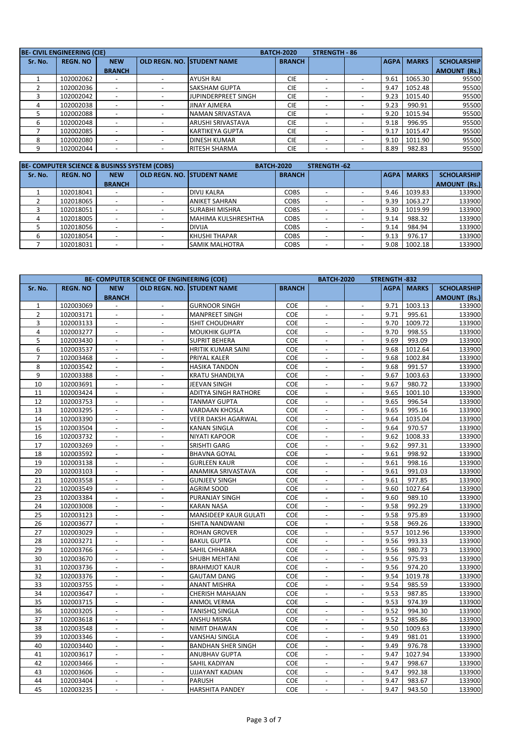|         | <b>BE- CIVIL ENGINEERING (CIE)</b> |               |                          |                          | <b>BATCH-2020</b> | <b>STRENGTH - 86</b> |                          |             |              |                     |
|---------|------------------------------------|---------------|--------------------------|--------------------------|-------------------|----------------------|--------------------------|-------------|--------------|---------------------|
| Sr. No. | <b>REGN. NO</b>                    | <b>NEW</b>    | OLD REGN. NO.            | <b>STUDENT NAME</b>      | <b>BRANCH</b>     |                      |                          | <b>AGPA</b> | <b>MARKS</b> | <b>SCHOLARSHIP</b>  |
|         |                                    | <b>BRANCH</b> |                          |                          |                   |                      |                          |             |              | <b>AMOUNT (Rs.)</b> |
|         | 102002062                          |               | $\overline{\phantom{0}}$ | <b>AYUSH RAI</b>         | <b>CIE</b>        |                      | $\overline{\phantom{0}}$ | 9.61        | 1065.30      | 95500               |
|         | 102002036                          |               | $\overline{\phantom{a}}$ | <b>SAKSHAM GUPTA</b>     | <b>CIE</b>        |                      | $\overline{\phantom{0}}$ | 9.47        | 1052.48      | 95500               |
|         | 102002042                          |               |                          | JUPINDERPREET SINGH      | <b>CIE</b>        |                      | $\overline{\phantom{a}}$ | 9.23        | 1015.40      | 95500               |
| 4       | 102002038                          |               |                          | <b>JINAY AJMERA</b>      | <b>CIE</b>        |                      | $\overline{\phantom{a}}$ | 9.23        | 990.91       | 95500               |
|         | 102002088                          |               |                          | NAMAN SRIVASTAVA         | <b>CIE</b>        |                      | $\overline{\phantom{0}}$ | 9.20        | 1015.94      | 95500               |
| 6       | 102002048                          |               |                          | <b>ARUSHI SRIVASTAVA</b> | <b>CIE</b>        |                      | $\overline{\phantom{a}}$ | 9.18        | 996.95       | 95500               |
|         | 102002085                          |               |                          | <b>KARTIKEYA GUPTA</b>   | <b>CIE</b>        |                      | $\overline{\phantom{0}}$ | 9.17        | 1015.47      | 95500               |
| 8       | 102002080                          |               |                          | <b>DINESH KUMAR</b>      | <b>CIE</b>        |                      | $\overline{\phantom{0}}$ | 9.10        | 1011.90      | 95500               |
| 9       | 102002044                          |               |                          | <b>RITESH SHARMA</b>     | <b>CIE</b>        |                      |                          | 8.89        | 982.83       | 95500               |

|         | BE-COMPUTER SCIENCE & BUSINSS SYSTEM (COBS) |               |                                    | <b>BATCH-2020</b> | STRENGTH-62 |                          |             |              |                     |
|---------|---------------------------------------------|---------------|------------------------------------|-------------------|-------------|--------------------------|-------------|--------------|---------------------|
| Sr. No. | <b>REGN. NO</b>                             | <b>NEW</b>    | <b>OLD REGN. NO. ISTUDENT NAME</b> | <b>BRANCH</b>     |             |                          | <b>AGPA</b> | <b>MARKS</b> | <b>SCHOLARSHIP</b>  |
|         |                                             | <b>BRANCH</b> |                                    |                   |             |                          |             |              | <b>AMOUNT (Rs.)</b> |
|         | 102018041                                   |               | <b>DIVIJ KALRA</b>                 | <b>COBS</b>       |             |                          | 9.46        | 1039.83      | 133900              |
|         | 102018065                                   |               | <b>ANIKET SAHRAN</b>               | <b>COBS</b>       |             |                          | 9.39        | 1063.27      | 133900              |
|         | 102018051                                   |               | <b>SURABHI MISHRA</b>              | <b>COBS</b>       |             |                          | 9.30        | 1019.99      | 133900              |
|         | 102018005                                   |               | MAHIMA KULSHRESHTHA                | <b>COBS</b>       |             |                          | 9.14        | 988.32       | 133900              |
|         | 102018056                                   |               | <b>DIVIJA</b>                      | <b>COBS</b>       |             | $\overline{\phantom{0}}$ | 9.14        | 984.94       | 133900              |
|         | 102018054                                   |               | <b>KHUSHI THAPAR</b>               | <b>COBS</b>       |             |                          | 9.13        | 976.17       | 133900              |
|         | 102018031                                   |               | <b>SAMIK MALHOTRA</b>              | <b>COBS</b>       |             |                          | 9.08        | 1002.18      | 133900              |

|                |                 |                          | BE- COMPUTER SCIENCE OF ENGINEERING (COE) |                                   |               | <b>BATCH-2020</b>        |                          | STRENGTH-832 |              |                     |
|----------------|-----------------|--------------------------|-------------------------------------------|-----------------------------------|---------------|--------------------------|--------------------------|--------------|--------------|---------------------|
| Sr. No.        | <b>REGN. NO</b> | <b>NEW</b>               |                                           | <b>OLD REGN. NO. STUDENT NAME</b> | <b>BRANCH</b> |                          |                          | <b>AGPA</b>  | <b>MARKS</b> | <b>SCHOLARSHIP</b>  |
|                |                 | <b>BRANCH</b>            |                                           |                                   |               |                          |                          |              |              | <b>AMOUNT (Rs.)</b> |
| $\mathbf{1}$   | 102003069       |                          |                                           | <b>GURNOOR SINGH</b>              | <b>COE</b>    |                          |                          | 9.71         | 1003.13      | 133900              |
| $\overline{2}$ | 102003171       | $\overline{\phantom{a}}$ | $\overline{\phantom{a}}$                  | <b>MANPREET SINGH</b>             | COE           | $\blacksquare$           | $\overline{\phantom{a}}$ | 9.71         | 995.61       | 133900              |
| 3              | 102003133       |                          |                                           | <b>ISHIT CHOUDHARY</b>            | COE           |                          |                          | 9.70         | 1009.72      | 133900              |
| 4              | 102003277       | $\blacksquare$           | $\overline{\phantom{a}}$                  | <b>MOUKHIK GUPTA</b>              | COE           | $\overline{\phantom{a}}$ | $\overline{\phantom{a}}$ | 9.70         | 998.55       | 133900              |
| 5              | 102003430       | $\blacksquare$           | $\sim$                                    | <b>SUPRIT BEHERA</b>              | COE           | $\overline{\phantom{a}}$ | $\blacksquare$           | 9.69         | 993.09       | 133900              |
| 6              | 102003537       | $\blacksquare$           | $\blacksquare$                            | HRITIK KUMAR SAINI                | COE           | $\blacksquare$           | $\blacksquare$           | 9.68         | 1012.64      | 133900              |
| $\overline{7}$ | 102003468       | $\overline{a}$           | $\overline{a}$                            | PRIYAL KALER                      | COE           | $\overline{a}$           | $\overline{a}$           | 9.68         | 1002.84      | 133900              |
| 8              | 102003542       | $\overline{\phantom{a}}$ | $\overline{\phantom{a}}$                  | <b>HASIKA TANDON</b>              | COE           |                          | $\overline{\phantom{a}}$ | 9.68         | 991.57       | 133900              |
| 9              | 102003388       | $\overline{a}$           | $\overline{a}$                            | <b>KRATU SHANDILYA</b>            | <b>COE</b>    | $\overline{a}$           | $\overline{a}$           | 9.67         | 1003.63      | 133900              |
| 10             | 102003691       | $\overline{a}$           | $\overline{\phantom{a}}$                  | JEEVAN SINGH                      | <b>COE</b>    | $\overline{a}$           | $\overline{\phantom{a}}$ | 9.67         | 980.72       | 133900              |
| 11             | 102003424       | $\overline{\phantom{a}}$ | $\overline{\phantom{a}}$                  | ADITYA SINGH RATHORE              | COE           | $\blacksquare$           | $\overline{\phantom{a}}$ | 9.65         | 1001.10      | 133900              |
| 12             | 102003753       |                          | $\sim$                                    | <b>TANMAY GUPTA</b>               | COE           |                          | $\blacksquare$           | 9.65         | 996.54       | 133900              |
| 13             | 102003295       | $\overline{\phantom{a}}$ | $\overline{\phantom{a}}$                  | <b>VARDAAN KHOSLA</b>             | COE           | $\blacksquare$           | $\overline{\phantom{a}}$ | 9.65         | 995.16       | 133900              |
| 14             | 102003390       | $\overline{\phantom{a}}$ | $\overline{\phantom{a}}$                  | <b>VEER DAKSH AGARWAL</b>         | COE           |                          |                          | 9.64         | 1035.04      | 133900              |
| 15             | 102003504       | $\blacksquare$           | $\overline{\phantom{a}}$                  | <b>KANAN SINGLA</b>               | COE           | $\overline{\phantom{a}}$ | $\blacksquare$           | 9.64         | 970.57       | 133900              |
| 16             | 102003732       | $\blacksquare$           | $\sim$                                    | <b>NIYATI KAPOOR</b>              | COE           | $\blacksquare$           | $\blacksquare$           | 9.62         | 1008.33      | 133900              |
| 17             | 102003269       | $\sim$                   | $\overline{\phantom{a}}$                  | SRISHTI GARG                      | COE           | $\overline{\phantom{a}}$ | $\mathcal{L}$            | 9.62         | 997.31       | 133900              |
| 18             | 102003592       | $\overline{\phantom{a}}$ | $\overline{a}$                            | <b>BHAVNA GOYAL</b>               | <b>COE</b>    | $\overline{a}$           | $\overline{a}$           | 9.61         | 998.92       | 133900              |
| 19             | 102003138       |                          | $\overline{a}$                            | <b>GURLEEN KAUR</b>               | <b>COE</b>    |                          |                          | 9.61         | 998.16       | 133900              |
| 20             | 102003103       | $\overline{\phantom{a}}$ | $\sim$                                    | ANAMIKA SRIVASTAVA                | <b>COE</b>    | $\overline{a}$           | $\overline{\phantom{a}}$ | 9.61         | 991.03       | 133900              |
| 21             | 102003558       |                          | $\overline{a}$                            | <b>GUNJEEV SINGH</b>              | <b>COE</b>    |                          |                          | 9.61         | 977.85       | 133900              |
| 22             | 102003549       | $\overline{\phantom{a}}$ | $\overline{\phantom{a}}$                  | <b>AGRIM SOOD</b>                 | COE           | $\blacksquare$           | $\overline{\phantom{a}}$ | 9.60         | 1027.64      | 133900              |
| 23             | 102003384       | $\overline{\phantom{a}}$ | $\blacksquare$                            | PURANJAY SINGH                    | COE           |                          | $\overline{\phantom{a}}$ | 9.60         | 989.10       | 133900              |
| 24             | 102003008       | $\overline{\phantom{a}}$ | $\blacksquare$                            | <b>KARAN NASA</b>                 | COE           | $\overline{\phantom{a}}$ | $\blacksquare$           | 9.58         | 992.29       | 133900              |
| 25             | 102003123       | $\blacksquare$           | $\sim$                                    | MANSIDEEP KAUR GULATI             | COE           | $\blacksquare$           | $\blacksquare$           | 9.58         | 975.89       | 133900              |
| 26             | 102003677       | $\omega$                 | $\blacksquare$                            | <b>ISHITA NANDWANI</b>            | COE           | $\overline{a}$           | $\blacksquare$           | 9.58         | 969.26       | 133900              |
| 27             | 102003029       | $\overline{a}$           | $\overline{a}$                            | <b>ROHAN GROVER</b>               | COE           | $\overline{a}$           | $\overline{a}$           | 9.57         | 1012.96      | 133900              |
| 28             | 102003271       | $\overline{a}$           | $\overline{\phantom{a}}$                  | <b>BAKUL GUPTA</b>                | COE           | $\overline{a}$           | $\overline{\phantom{a}}$ | 9.56         | 993.33       | 133900              |
| 29             | 102003766       | $\overline{a}$           | $\Box$                                    | SAHIL CHHABRA                     | COE           | $\overline{a}$           | $\blacksquare$           | 9.56         | 980.73       | 133900              |
| 30             | 102003670       | $\overline{a}$           | $\overline{\phantom{a}}$                  | SHUBH MEHTANI                     | COE           |                          | $\sim$                   | 9.56         | 975.93       | 133900              |
| 31             | 102003736       | $\overline{\phantom{a}}$ | $\overline{\phantom{a}}$                  | <b>BRAHMJOT KAUR</b>              | COE           | $\blacksquare$           | $\overline{\phantom{a}}$ | 9.56         | 974.20       | 133900              |
| 32             | 102003376       |                          | $\sim$                                    | <b>GAUTAM DANG</b>                | COE           |                          | $\overline{a}$           | 9.54         | 1019.78      | 133900              |
| 33             | 102003755       | $\overline{\phantom{a}}$ | $\overline{\phantom{a}}$                  | <b>ANANT MISHRA</b>               | COE           | $\blacksquare$           | $\overline{\phantom{a}}$ | 9.54         | 985.59       | 133900              |
| 34             | 102003647       | $\overline{\phantom{a}}$ | $\sim$                                    | <b>CHERISH MAHAJAN</b>            | COE           |                          | $\overline{\phantom{a}}$ | 9.53         | 987.85       | 133900              |
| 35             | 102003715       | $\blacksquare$           | $\overline{\phantom{a}}$                  | ANMOL VERMA                       | COE           | $\overline{\phantom{a}}$ | $\overline{\phantom{a}}$ | 9.53         | 974.39       | 133900              |
| 36             | 102003205       | $\overline{\phantom{a}}$ | $\sim$                                    | <b>TANISHQ SINGLA</b>             | COE           | $\overline{\phantom{a}}$ | $\blacksquare$           | 9.52         | 994.30       | 133900              |
| 37             | 102003618       | $\sim$                   | $\overline{\phantom{a}}$                  | ANSHU MISRA                       | COE           | $\overline{\phantom{a}}$ | $\mathcal{L}$            | 9.52         | 985.86       | 133900              |
| 38             | 102003548       | $\overline{\phantom{a}}$ | $\Box$                                    | NIMIT DHAWAN                      | <b>COE</b>    | $\overline{a}$           | $\overline{a}$           | 9.50         | 1009.63      | 133900              |
| 39             | 102003346       |                          | $\sim$                                    | VANSHAJ SINGLA                    | COE           |                          |                          | 9.49         | 981.01       | 133900              |
| 40             | 102003440       | $\overline{\phantom{a}}$ | $\sim$                                    | <b>BANDHAN SHER SINGH</b>         | <b>COE</b>    | $\overline{a}$           | $\overline{\phantom{a}}$ | 9.49         | 976.78       | 133900              |
| 41             | 102003617       |                          |                                           | <b>ANUBHAV GUPTA</b>              | <b>COE</b>    |                          |                          | 9.47         | 1027.94      | 133900              |
| 42             | 102003466       | $\overline{\phantom{a}}$ | $\overline{\phantom{a}}$                  | SAHIL KADIYAN                     | COE           | $\blacksquare$           | $\overline{\phantom{a}}$ | 9.47         | 998.67       | 133900              |
| 43             | 102003606       | $\overline{\phantom{a}}$ | $\overline{\phantom{a}}$                  | <b>UJJAYANT KADIAN</b>            | COE           | $\overline{\phantom{a}}$ | $\overline{\phantom{a}}$ | 9.47         | 992.38       | 133900              |
| 44             | 102003404       | $\overline{\phantom{a}}$ | $\blacksquare$                            | <b>PARUSH</b>                     | COE           | $\overline{\phantom{a}}$ | $\overline{\phantom{a}}$ | 9.47         | 983.67       | 133900              |
| 45             | 102003235       | $\sim$                   | $\sim$                                    | <b>HARSHITA PANDEY</b>            | COE           | $\overline{\phantom{a}}$ | $\sim$                   | 9.47         | 943.50       | 133900              |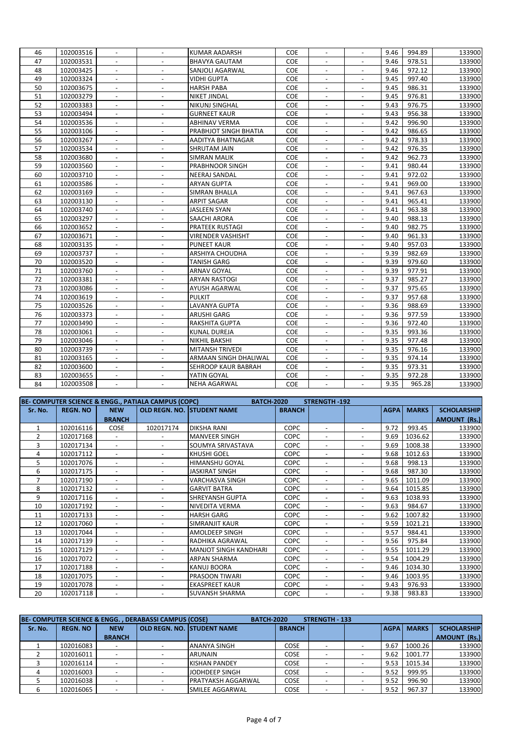| 46<br>102003516<br>KUMAR AADARSH<br><b>COE</b><br>9.46<br>994.89<br>133900<br>$\blacksquare$<br>$\blacksquare$<br>$\blacksquare$<br>$\overline{\phantom{a}}$<br>47<br>COE<br>9.46<br>978.51<br>102003531<br><b>BHAVYA GAUTAM</b><br>133900<br>$\overline{a}$<br>$\blacksquare$<br>48<br>COE<br>9.46<br>972.12<br>102003425<br>SANJOLI AGARWAL<br>133900<br>$\blacksquare$<br>$\overline{a}$<br>$\overline{\phantom{a}}$<br>$\overline{a}$<br>49<br>COE<br>997.40<br>102003324<br>9.45<br>133900<br>VIDHI GUPTA<br>$\overline{\phantom{a}}$<br>$\blacksquare$<br>$\blacksquare$<br>$\overline{a}$<br>50<br>986.31<br>102003675<br><b>HARSH PABA</b><br>COE<br>9.45<br>133900<br>$\blacksquare$<br>$\blacksquare$<br>$\blacksquare$<br>51<br>COE<br>976.81<br>102003279<br>9.45<br>133900<br>$\blacksquare$<br><b>NIKET JINDAL</b><br>$\Box$<br>$\blacksquare$<br>$\blacksquare$<br>52<br>976.75<br>COE<br>9.43<br>133900<br>102003383<br><b>NIKUNJ SINGHAL</b><br>$\blacksquare$<br>$\blacksquare$<br>$\overline{\phantom{a}}$<br>$\overline{\phantom{a}}$<br>956.38<br>53<br>COE<br>9.43<br>133900<br>102003494<br><b>GURNEET KAUR</b><br>$\blacksquare$<br>$\Box$<br>$\blacksquare$<br>$\blacksquare$<br>996.90<br>54<br>COE<br>133900<br>102003536<br><b>ABHINAV VERMA</b><br>9.42<br>$\overline{\phantom{a}}$<br>$\overline{\phantom{a}}$<br>$\overline{\phantom{a}}$<br>$\overline{\phantom{a}}$<br>986.65<br>55<br>102003106<br>PRABHJOT SINGH BHATIA<br>COE<br>9.42<br>133900<br>$\overline{\phantom{a}}$<br>$\overline{\phantom{a}}$<br>$\overline{\phantom{a}}$<br>$\overline{\phantom{a}}$<br>56<br>102003267<br>COE<br>9.42<br>978.33<br>133900<br>AADITYA BHATNAGAR<br>$\overline{\phantom{a}}$<br>$\overline{\phantom{a}}$<br>$\overline{\phantom{a}}$<br>$\blacksquare$<br>57<br>COE<br>976.35<br>102003534<br>9.42<br>133900<br>SHRUTAM JAIN<br>$\overline{a}$<br>$\overline{a}$<br>$\blacksquare$<br>58<br>COE<br>962.73<br>9.42<br>133900<br>102003680<br><b>SIMRAN MALIK</b><br>$\overline{\phantom{a}}$<br>$\overline{\phantom{a}}$<br>$\overline{\phantom{a}}$<br>59<br>COE<br>980.44<br>133900<br>102003560<br>PRABHNOOR SINGH<br>9.41<br>$\overline{\phantom{a}}$<br>$\blacksquare$<br>$\overline{\phantom{a}}$<br>$\overline{\phantom{a}}$<br>60<br><b>COE</b><br>9.41<br>972.02<br>133900<br>102003710<br><b>NEERAJ SANDAL</b><br>$\overline{\phantom{a}}$<br>$\overline{\phantom{a}}$<br>$\overline{\phantom{a}}$<br>$\overline{a}$<br>61<br>102003586<br>COE<br>9.41<br>969.00<br>133900<br><b>ARYAN GUPTA</b><br>62<br>967.63<br>COE<br>133900<br>102003169<br><b>SIMRAN BHALLA</b><br>9.41<br>$\mathcal{L}$<br>$\overline{\phantom{a}}$<br>$\overline{\phantom{a}}$<br>$\blacksquare$<br>COE<br>965.41<br>63<br>102003130<br><b>ARPIT SAGAR</b><br>9.41<br>133900<br>$\blacksquare$<br>$\overline{\phantom{a}}$<br>$\overline{\phantom{a}}$<br>$\blacksquare$<br>64<br>COE<br>963.38<br>102003740<br><b>JASLEEN SYAN</b><br>9.41<br>133900<br>$\blacksquare$<br>$\blacksquare$<br>$\blacksquare$<br>$\blacksquare$<br>988.13<br>102003297<br>COE<br>133900<br>65<br><b>SAACHI ARORA</b><br>9.40<br>$\blacksquare$<br>$\overline{\phantom{a}}$<br>$\overline{\phantom{a}}$<br>$\blacksquare$<br>66<br>COE<br>982.75<br>133900<br>102003652<br><b>PRATEEK RUSTAGI</b><br>9.40<br>$\overline{\phantom{a}}$<br>$\overline{\phantom{a}}$<br>$\overline{\phantom{a}}$<br>$\overline{\phantom{a}}$<br>67<br>COE<br>961.33<br>102003671<br>9.40<br>133900<br><b>VIRENDER VASHISHT</b><br>$\overline{\phantom{a}}$<br>$\overline{\phantom{a}}$<br>$\overline{\phantom{a}}$<br>$\overline{\phantom{a}}$<br>68<br>957.03<br>102003135<br>COE<br>9.40<br>133900<br><b>PUNEET KAUR</b><br>$\blacksquare$<br>$\overline{a}$<br>$\blacksquare$<br>$\blacksquare$<br>69<br>102003737<br>COE<br>9.39<br>982.69<br>133900<br>ARSHIYA CHOUDHA<br>$\overline{\phantom{a}}$<br>$\blacksquare$<br>$\overline{\phantom{a}}$<br>$\overline{\phantom{a}}$<br>70<br>COE<br>979.60<br>102003520<br>9.39<br>133900<br><b>TANISH GARG</b><br>$\blacksquare$<br>$\blacksquare$<br>$\overline{\phantom{a}}$<br>$\blacksquare$<br>977.91<br>71<br>102003760<br>COE<br>9.39<br>133900<br><b>ARNAV GOYAL</b><br>$\overline{a}$<br>72<br>COE<br>9.37<br>985.27<br>133900<br>102003381<br><b>ARYAN RASTOGI</b><br>$\blacksquare$<br>$\blacksquare$<br>$\blacksquare$<br>73<br>COE<br>9.37<br>975.65<br>102003086<br>133900<br>AYUSH AGARWAL<br>$\blacksquare$<br>$\overline{\phantom{a}}$<br>$\overline{\phantom{a}}$<br>$\overline{\phantom{a}}$<br>74<br>COE<br>957.68<br>102003619<br><b>PULKIT</b><br>9.37<br>133900<br>$\blacksquare$<br>$\blacksquare$<br>$\blacksquare$<br>$\blacksquare$<br>75<br>988.69<br>102003526<br>LAVANYA GUPTA<br>COE<br>9.36<br>133900<br>$\overline{\phantom{a}}$<br>$\overline{\phantom{a}}$<br>$\overline{\phantom{a}}$<br>$\overline{\phantom{a}}$<br>76<br>COE<br>977.59<br>133900<br>102003373<br><b>ARUSHI GARG</b><br>9.36<br>$\overline{\phantom{a}}$<br>$\overline{\phantom{a}}$<br>$\overline{\phantom{a}}$<br>$\overline{\phantom{a}}$<br>972.40<br>77<br>102003490<br><b>RAKSHITA GUPTA</b><br><b>COE</b><br>9.36<br>133900<br>$\overline{\phantom{a}}$<br>$\overline{\phantom{a}}$<br>$\overline{\phantom{a}}$<br>$\overline{\phantom{a}}$<br>78<br>COE<br>9.35<br>993.36<br>102003061<br>133900<br>KUNAL DUREJA<br>$\overline{\phantom{a}}$<br>$\overline{a}$<br>$\blacksquare$<br>79<br>COE<br>9.35<br>977.48<br>133900<br>102003046<br><b>NIKHIL BAKSHI</b><br>$\overline{\phantom{a}}$<br>$\overline{\phantom{a}}$<br>$\overline{\phantom{a}}$<br>$\blacksquare$<br>80<br>COE<br>976.16<br>102003739<br>9.35<br>133900<br><b>MITANSH TRIVEDI</b><br>$\overline{\phantom{a}}$<br>$\overline{\phantom{a}}$<br>$\overline{\phantom{a}}$<br>$\blacksquare$<br>81<br>COE<br>9.35<br>974.14<br>133900<br>102003165<br>ARMAAN SINGH DHALIWAL<br>$\blacksquare$<br>$\blacksquare$<br>$\overline{a}$<br>$\overline{a}$<br>82<br>COE<br>973.31<br>102003600<br>SEHROOP KAUR BABRAH<br>9.35<br>133900<br>9.35<br>972.28<br>83<br>102003655<br>YATIN GOYAL<br>COE<br>133900<br>$\blacksquare$<br>$\overline{a}$<br>$\blacksquare$<br>$\overline{\phantom{a}}$<br>84<br>9.35<br>965.28<br>102003508<br><b>NEHA AGARWAL</b><br><b>COE</b><br>133900<br>$\blacksquare$<br>$\blacksquare$<br>$\blacksquare$<br>$\overline{\phantom{a}}$ |  |  |  |  |  |  |
|-------------------------------------------------------------------------------------------------------------------------------------------------------------------------------------------------------------------------------------------------------------------------------------------------------------------------------------------------------------------------------------------------------------------------------------------------------------------------------------------------------------------------------------------------------------------------------------------------------------------------------------------------------------------------------------------------------------------------------------------------------------------------------------------------------------------------------------------------------------------------------------------------------------------------------------------------------------------------------------------------------------------------------------------------------------------------------------------------------------------------------------------------------------------------------------------------------------------------------------------------------------------------------------------------------------------------------------------------------------------------------------------------------------------------------------------------------------------------------------------------------------------------------------------------------------------------------------------------------------------------------------------------------------------------------------------------------------------------------------------------------------------------------------------------------------------------------------------------------------------------------------------------------------------------------------------------------------------------------------------------------------------------------------------------------------------------------------------------------------------------------------------------------------------------------------------------------------------------------------------------------------------------------------------------------------------------------------------------------------------------------------------------------------------------------------------------------------------------------------------------------------------------------------------------------------------------------------------------------------------------------------------------------------------------------------------------------------------------------------------------------------------------------------------------------------------------------------------------------------------------------------------------------------------------------------------------------------------------------------------------------------------------------------------------------------------------------------------------------------------------------------------------------------------------------------------------------------------------------------------------------------------------------------------------------------------------------------------------------------------------------------------------------------------------------------------------------------------------------------------------------------------------------------------------------------------------------------------------------------------------------------------------------------------------------------------------------------------------------------------------------------------------------------------------------------------------------------------------------------------------------------------------------------------------------------------------------------------------------------------------------------------------------------------------------------------------------------------------------------------------------------------------------------------------------------------------------------------------------------------------------------------------------------------------------------------------------------------------------------------------------------------------------------------------------------------------------------------------------------------------------------------------------------------------------------------------------------------------------------------------------------------------------------------------------------------------------------------------------------------------------------------------------------------------------------------------------------------------------------------------------------------------------------------------------------------------------------------------------------------------------------------------------------------------------------------------------------------------------------------------------------------------------------------------------------------------------------------------------------------------------------------------------------------------------------------------------------------------------------------------------------------------------------------------------------------------------------------------------------------------------------------------------------------------------------------------------------------------------------------------------------------------------------------------------------------------------------------------------------------------------------------------------------------------------------------------------------------------------------------------------------------------------------------------------------------------------------------------------------------------------------------------------------------------------------------------------------------------------------------------------------------------------------------------------------------------------------------------------------------------------------------------------------------------------------------------------------------------------------------|--|--|--|--|--|--|
|                                                                                                                                                                                                                                                                                                                                                                                                                                                                                                                                                                                                                                                                                                                                                                                                                                                                                                                                                                                                                                                                                                                                                                                                                                                                                                                                                                                                                                                                                                                                                                                                                                                                                                                                                                                                                                                                                                                                                                                                                                                                                                                                                                                                                                                                                                                                                                                                                                                                                                                                                                                                                                                                                                                                                                                                                                                                                                                                                                                                                                                                                                                                                                                                                                                                                                                                                                                                                                                                                                                                                                                                                                                                                                                                                                                                                                                                                                                                                                                                                                                                                                                                                                                                                                                                                                                                                                                                                                                                                                                                                                                                                                                                                                                                                                                                                                                                                                                                                                                                                                                                                                                                                                                                                                                                                                                                                                                                                                                                                                                                                                                                                                                                                                                                                                                                                                                                                                                                                                                                                                                                                                                                                                                                                                                                                                                                                                   |  |  |  |  |  |  |
|                                                                                                                                                                                                                                                                                                                                                                                                                                                                                                                                                                                                                                                                                                                                                                                                                                                                                                                                                                                                                                                                                                                                                                                                                                                                                                                                                                                                                                                                                                                                                                                                                                                                                                                                                                                                                                                                                                                                                                                                                                                                                                                                                                                                                                                                                                                                                                                                                                                                                                                                                                                                                                                                                                                                                                                                                                                                                                                                                                                                                                                                                                                                                                                                                                                                                                                                                                                                                                                                                                                                                                                                                                                                                                                                                                                                                                                                                                                                                                                                                                                                                                                                                                                                                                                                                                                                                                                                                                                                                                                                                                                                                                                                                                                                                                                                                                                                                                                                                                                                                                                                                                                                                                                                                                                                                                                                                                                                                                                                                                                                                                                                                                                                                                                                                                                                                                                                                                                                                                                                                                                                                                                                                                                                                                                                                                                                                                   |  |  |  |  |  |  |
|                                                                                                                                                                                                                                                                                                                                                                                                                                                                                                                                                                                                                                                                                                                                                                                                                                                                                                                                                                                                                                                                                                                                                                                                                                                                                                                                                                                                                                                                                                                                                                                                                                                                                                                                                                                                                                                                                                                                                                                                                                                                                                                                                                                                                                                                                                                                                                                                                                                                                                                                                                                                                                                                                                                                                                                                                                                                                                                                                                                                                                                                                                                                                                                                                                                                                                                                                                                                                                                                                                                                                                                                                                                                                                                                                                                                                                                                                                                                                                                                                                                                                                                                                                                                                                                                                                                                                                                                                                                                                                                                                                                                                                                                                                                                                                                                                                                                                                                                                                                                                                                                                                                                                                                                                                                                                                                                                                                                                                                                                                                                                                                                                                                                                                                                                                                                                                                                                                                                                                                                                                                                                                                                                                                                                                                                                                                                                                   |  |  |  |  |  |  |
|                                                                                                                                                                                                                                                                                                                                                                                                                                                                                                                                                                                                                                                                                                                                                                                                                                                                                                                                                                                                                                                                                                                                                                                                                                                                                                                                                                                                                                                                                                                                                                                                                                                                                                                                                                                                                                                                                                                                                                                                                                                                                                                                                                                                                                                                                                                                                                                                                                                                                                                                                                                                                                                                                                                                                                                                                                                                                                                                                                                                                                                                                                                                                                                                                                                                                                                                                                                                                                                                                                                                                                                                                                                                                                                                                                                                                                                                                                                                                                                                                                                                                                                                                                                                                                                                                                                                                                                                                                                                                                                                                                                                                                                                                                                                                                                                                                                                                                                                                                                                                                                                                                                                                                                                                                                                                                                                                                                                                                                                                                                                                                                                                                                                                                                                                                                                                                                                                                                                                                                                                                                                                                                                                                                                                                                                                                                                                                   |  |  |  |  |  |  |
|                                                                                                                                                                                                                                                                                                                                                                                                                                                                                                                                                                                                                                                                                                                                                                                                                                                                                                                                                                                                                                                                                                                                                                                                                                                                                                                                                                                                                                                                                                                                                                                                                                                                                                                                                                                                                                                                                                                                                                                                                                                                                                                                                                                                                                                                                                                                                                                                                                                                                                                                                                                                                                                                                                                                                                                                                                                                                                                                                                                                                                                                                                                                                                                                                                                                                                                                                                                                                                                                                                                                                                                                                                                                                                                                                                                                                                                                                                                                                                                                                                                                                                                                                                                                                                                                                                                                                                                                                                                                                                                                                                                                                                                                                                                                                                                                                                                                                                                                                                                                                                                                                                                                                                                                                                                                                                                                                                                                                                                                                                                                                                                                                                                                                                                                                                                                                                                                                                                                                                                                                                                                                                                                                                                                                                                                                                                                                                   |  |  |  |  |  |  |
|                                                                                                                                                                                                                                                                                                                                                                                                                                                                                                                                                                                                                                                                                                                                                                                                                                                                                                                                                                                                                                                                                                                                                                                                                                                                                                                                                                                                                                                                                                                                                                                                                                                                                                                                                                                                                                                                                                                                                                                                                                                                                                                                                                                                                                                                                                                                                                                                                                                                                                                                                                                                                                                                                                                                                                                                                                                                                                                                                                                                                                                                                                                                                                                                                                                                                                                                                                                                                                                                                                                                                                                                                                                                                                                                                                                                                                                                                                                                                                                                                                                                                                                                                                                                                                                                                                                                                                                                                                                                                                                                                                                                                                                                                                                                                                                                                                                                                                                                                                                                                                                                                                                                                                                                                                                                                                                                                                                                                                                                                                                                                                                                                                                                                                                                                                                                                                                                                                                                                                                                                                                                                                                                                                                                                                                                                                                                                                   |  |  |  |  |  |  |
|                                                                                                                                                                                                                                                                                                                                                                                                                                                                                                                                                                                                                                                                                                                                                                                                                                                                                                                                                                                                                                                                                                                                                                                                                                                                                                                                                                                                                                                                                                                                                                                                                                                                                                                                                                                                                                                                                                                                                                                                                                                                                                                                                                                                                                                                                                                                                                                                                                                                                                                                                                                                                                                                                                                                                                                                                                                                                                                                                                                                                                                                                                                                                                                                                                                                                                                                                                                                                                                                                                                                                                                                                                                                                                                                                                                                                                                                                                                                                                                                                                                                                                                                                                                                                                                                                                                                                                                                                                                                                                                                                                                                                                                                                                                                                                                                                                                                                                                                                                                                                                                                                                                                                                                                                                                                                                                                                                                                                                                                                                                                                                                                                                                                                                                                                                                                                                                                                                                                                                                                                                                                                                                                                                                                                                                                                                                                                                   |  |  |  |  |  |  |
|                                                                                                                                                                                                                                                                                                                                                                                                                                                                                                                                                                                                                                                                                                                                                                                                                                                                                                                                                                                                                                                                                                                                                                                                                                                                                                                                                                                                                                                                                                                                                                                                                                                                                                                                                                                                                                                                                                                                                                                                                                                                                                                                                                                                                                                                                                                                                                                                                                                                                                                                                                                                                                                                                                                                                                                                                                                                                                                                                                                                                                                                                                                                                                                                                                                                                                                                                                                                                                                                                                                                                                                                                                                                                                                                                                                                                                                                                                                                                                                                                                                                                                                                                                                                                                                                                                                                                                                                                                                                                                                                                                                                                                                                                                                                                                                                                                                                                                                                                                                                                                                                                                                                                                                                                                                                                                                                                                                                                                                                                                                                                                                                                                                                                                                                                                                                                                                                                                                                                                                                                                                                                                                                                                                                                                                                                                                                                                   |  |  |  |  |  |  |
|                                                                                                                                                                                                                                                                                                                                                                                                                                                                                                                                                                                                                                                                                                                                                                                                                                                                                                                                                                                                                                                                                                                                                                                                                                                                                                                                                                                                                                                                                                                                                                                                                                                                                                                                                                                                                                                                                                                                                                                                                                                                                                                                                                                                                                                                                                                                                                                                                                                                                                                                                                                                                                                                                                                                                                                                                                                                                                                                                                                                                                                                                                                                                                                                                                                                                                                                                                                                                                                                                                                                                                                                                                                                                                                                                                                                                                                                                                                                                                                                                                                                                                                                                                                                                                                                                                                                                                                                                                                                                                                                                                                                                                                                                                                                                                                                                                                                                                                                                                                                                                                                                                                                                                                                                                                                                                                                                                                                                                                                                                                                                                                                                                                                                                                                                                                                                                                                                                                                                                                                                                                                                                                                                                                                                                                                                                                                                                   |  |  |  |  |  |  |
|                                                                                                                                                                                                                                                                                                                                                                                                                                                                                                                                                                                                                                                                                                                                                                                                                                                                                                                                                                                                                                                                                                                                                                                                                                                                                                                                                                                                                                                                                                                                                                                                                                                                                                                                                                                                                                                                                                                                                                                                                                                                                                                                                                                                                                                                                                                                                                                                                                                                                                                                                                                                                                                                                                                                                                                                                                                                                                                                                                                                                                                                                                                                                                                                                                                                                                                                                                                                                                                                                                                                                                                                                                                                                                                                                                                                                                                                                                                                                                                                                                                                                                                                                                                                                                                                                                                                                                                                                                                                                                                                                                                                                                                                                                                                                                                                                                                                                                                                                                                                                                                                                                                                                                                                                                                                                                                                                                                                                                                                                                                                                                                                                                                                                                                                                                                                                                                                                                                                                                                                                                                                                                                                                                                                                                                                                                                                                                   |  |  |  |  |  |  |
|                                                                                                                                                                                                                                                                                                                                                                                                                                                                                                                                                                                                                                                                                                                                                                                                                                                                                                                                                                                                                                                                                                                                                                                                                                                                                                                                                                                                                                                                                                                                                                                                                                                                                                                                                                                                                                                                                                                                                                                                                                                                                                                                                                                                                                                                                                                                                                                                                                                                                                                                                                                                                                                                                                                                                                                                                                                                                                                                                                                                                                                                                                                                                                                                                                                                                                                                                                                                                                                                                                                                                                                                                                                                                                                                                                                                                                                                                                                                                                                                                                                                                                                                                                                                                                                                                                                                                                                                                                                                                                                                                                                                                                                                                                                                                                                                                                                                                                                                                                                                                                                                                                                                                                                                                                                                                                                                                                                                                                                                                                                                                                                                                                                                                                                                                                                                                                                                                                                                                                                                                                                                                                                                                                                                                                                                                                                                                                   |  |  |  |  |  |  |
|                                                                                                                                                                                                                                                                                                                                                                                                                                                                                                                                                                                                                                                                                                                                                                                                                                                                                                                                                                                                                                                                                                                                                                                                                                                                                                                                                                                                                                                                                                                                                                                                                                                                                                                                                                                                                                                                                                                                                                                                                                                                                                                                                                                                                                                                                                                                                                                                                                                                                                                                                                                                                                                                                                                                                                                                                                                                                                                                                                                                                                                                                                                                                                                                                                                                                                                                                                                                                                                                                                                                                                                                                                                                                                                                                                                                                                                                                                                                                                                                                                                                                                                                                                                                                                                                                                                                                                                                                                                                                                                                                                                                                                                                                                                                                                                                                                                                                                                                                                                                                                                                                                                                                                                                                                                                                                                                                                                                                                                                                                                                                                                                                                                                                                                                                                                                                                                                                                                                                                                                                                                                                                                                                                                                                                                                                                                                                                   |  |  |  |  |  |  |
|                                                                                                                                                                                                                                                                                                                                                                                                                                                                                                                                                                                                                                                                                                                                                                                                                                                                                                                                                                                                                                                                                                                                                                                                                                                                                                                                                                                                                                                                                                                                                                                                                                                                                                                                                                                                                                                                                                                                                                                                                                                                                                                                                                                                                                                                                                                                                                                                                                                                                                                                                                                                                                                                                                                                                                                                                                                                                                                                                                                                                                                                                                                                                                                                                                                                                                                                                                                                                                                                                                                                                                                                                                                                                                                                                                                                                                                                                                                                                                                                                                                                                                                                                                                                                                                                                                                                                                                                                                                                                                                                                                                                                                                                                                                                                                                                                                                                                                                                                                                                                                                                                                                                                                                                                                                                                                                                                                                                                                                                                                                                                                                                                                                                                                                                                                                                                                                                                                                                                                                                                                                                                                                                                                                                                                                                                                                                                                   |  |  |  |  |  |  |
|                                                                                                                                                                                                                                                                                                                                                                                                                                                                                                                                                                                                                                                                                                                                                                                                                                                                                                                                                                                                                                                                                                                                                                                                                                                                                                                                                                                                                                                                                                                                                                                                                                                                                                                                                                                                                                                                                                                                                                                                                                                                                                                                                                                                                                                                                                                                                                                                                                                                                                                                                                                                                                                                                                                                                                                                                                                                                                                                                                                                                                                                                                                                                                                                                                                                                                                                                                                                                                                                                                                                                                                                                                                                                                                                                                                                                                                                                                                                                                                                                                                                                                                                                                                                                                                                                                                                                                                                                                                                                                                                                                                                                                                                                                                                                                                                                                                                                                                                                                                                                                                                                                                                                                                                                                                                                                                                                                                                                                                                                                                                                                                                                                                                                                                                                                                                                                                                                                                                                                                                                                                                                                                                                                                                                                                                                                                                                                   |  |  |  |  |  |  |
|                                                                                                                                                                                                                                                                                                                                                                                                                                                                                                                                                                                                                                                                                                                                                                                                                                                                                                                                                                                                                                                                                                                                                                                                                                                                                                                                                                                                                                                                                                                                                                                                                                                                                                                                                                                                                                                                                                                                                                                                                                                                                                                                                                                                                                                                                                                                                                                                                                                                                                                                                                                                                                                                                                                                                                                                                                                                                                                                                                                                                                                                                                                                                                                                                                                                                                                                                                                                                                                                                                                                                                                                                                                                                                                                                                                                                                                                                                                                                                                                                                                                                                                                                                                                                                                                                                                                                                                                                                                                                                                                                                                                                                                                                                                                                                                                                                                                                                                                                                                                                                                                                                                                                                                                                                                                                                                                                                                                                                                                                                                                                                                                                                                                                                                                                                                                                                                                                                                                                                                                                                                                                                                                                                                                                                                                                                                                                                   |  |  |  |  |  |  |
|                                                                                                                                                                                                                                                                                                                                                                                                                                                                                                                                                                                                                                                                                                                                                                                                                                                                                                                                                                                                                                                                                                                                                                                                                                                                                                                                                                                                                                                                                                                                                                                                                                                                                                                                                                                                                                                                                                                                                                                                                                                                                                                                                                                                                                                                                                                                                                                                                                                                                                                                                                                                                                                                                                                                                                                                                                                                                                                                                                                                                                                                                                                                                                                                                                                                                                                                                                                                                                                                                                                                                                                                                                                                                                                                                                                                                                                                                                                                                                                                                                                                                                                                                                                                                                                                                                                                                                                                                                                                                                                                                                                                                                                                                                                                                                                                                                                                                                                                                                                                                                                                                                                                                                                                                                                                                                                                                                                                                                                                                                                                                                                                                                                                                                                                                                                                                                                                                                                                                                                                                                                                                                                                                                                                                                                                                                                                                                   |  |  |  |  |  |  |
|                                                                                                                                                                                                                                                                                                                                                                                                                                                                                                                                                                                                                                                                                                                                                                                                                                                                                                                                                                                                                                                                                                                                                                                                                                                                                                                                                                                                                                                                                                                                                                                                                                                                                                                                                                                                                                                                                                                                                                                                                                                                                                                                                                                                                                                                                                                                                                                                                                                                                                                                                                                                                                                                                                                                                                                                                                                                                                                                                                                                                                                                                                                                                                                                                                                                                                                                                                                                                                                                                                                                                                                                                                                                                                                                                                                                                                                                                                                                                                                                                                                                                                                                                                                                                                                                                                                                                                                                                                                                                                                                                                                                                                                                                                                                                                                                                                                                                                                                                                                                                                                                                                                                                                                                                                                                                                                                                                                                                                                                                                                                                                                                                                                                                                                                                                                                                                                                                                                                                                                                                                                                                                                                                                                                                                                                                                                                                                   |  |  |  |  |  |  |
|                                                                                                                                                                                                                                                                                                                                                                                                                                                                                                                                                                                                                                                                                                                                                                                                                                                                                                                                                                                                                                                                                                                                                                                                                                                                                                                                                                                                                                                                                                                                                                                                                                                                                                                                                                                                                                                                                                                                                                                                                                                                                                                                                                                                                                                                                                                                                                                                                                                                                                                                                                                                                                                                                                                                                                                                                                                                                                                                                                                                                                                                                                                                                                                                                                                                                                                                                                                                                                                                                                                                                                                                                                                                                                                                                                                                                                                                                                                                                                                                                                                                                                                                                                                                                                                                                                                                                                                                                                                                                                                                                                                                                                                                                                                                                                                                                                                                                                                                                                                                                                                                                                                                                                                                                                                                                                                                                                                                                                                                                                                                                                                                                                                                                                                                                                                                                                                                                                                                                                                                                                                                                                                                                                                                                                                                                                                                                                   |  |  |  |  |  |  |
|                                                                                                                                                                                                                                                                                                                                                                                                                                                                                                                                                                                                                                                                                                                                                                                                                                                                                                                                                                                                                                                                                                                                                                                                                                                                                                                                                                                                                                                                                                                                                                                                                                                                                                                                                                                                                                                                                                                                                                                                                                                                                                                                                                                                                                                                                                                                                                                                                                                                                                                                                                                                                                                                                                                                                                                                                                                                                                                                                                                                                                                                                                                                                                                                                                                                                                                                                                                                                                                                                                                                                                                                                                                                                                                                                                                                                                                                                                                                                                                                                                                                                                                                                                                                                                                                                                                                                                                                                                                                                                                                                                                                                                                                                                                                                                                                                                                                                                                                                                                                                                                                                                                                                                                                                                                                                                                                                                                                                                                                                                                                                                                                                                                                                                                                                                                                                                                                                                                                                                                                                                                                                                                                                                                                                                                                                                                                                                   |  |  |  |  |  |  |
|                                                                                                                                                                                                                                                                                                                                                                                                                                                                                                                                                                                                                                                                                                                                                                                                                                                                                                                                                                                                                                                                                                                                                                                                                                                                                                                                                                                                                                                                                                                                                                                                                                                                                                                                                                                                                                                                                                                                                                                                                                                                                                                                                                                                                                                                                                                                                                                                                                                                                                                                                                                                                                                                                                                                                                                                                                                                                                                                                                                                                                                                                                                                                                                                                                                                                                                                                                                                                                                                                                                                                                                                                                                                                                                                                                                                                                                                                                                                                                                                                                                                                                                                                                                                                                                                                                                                                                                                                                                                                                                                                                                                                                                                                                                                                                                                                                                                                                                                                                                                                                                                                                                                                                                                                                                                                                                                                                                                                                                                                                                                                                                                                                                                                                                                                                                                                                                                                                                                                                                                                                                                                                                                                                                                                                                                                                                                                                   |  |  |  |  |  |  |
|                                                                                                                                                                                                                                                                                                                                                                                                                                                                                                                                                                                                                                                                                                                                                                                                                                                                                                                                                                                                                                                                                                                                                                                                                                                                                                                                                                                                                                                                                                                                                                                                                                                                                                                                                                                                                                                                                                                                                                                                                                                                                                                                                                                                                                                                                                                                                                                                                                                                                                                                                                                                                                                                                                                                                                                                                                                                                                                                                                                                                                                                                                                                                                                                                                                                                                                                                                                                                                                                                                                                                                                                                                                                                                                                                                                                                                                                                                                                                                                                                                                                                                                                                                                                                                                                                                                                                                                                                                                                                                                                                                                                                                                                                                                                                                                                                                                                                                                                                                                                                                                                                                                                                                                                                                                                                                                                                                                                                                                                                                                                                                                                                                                                                                                                                                                                                                                                                                                                                                                                                                                                                                                                                                                                                                                                                                                                                                   |  |  |  |  |  |  |
|                                                                                                                                                                                                                                                                                                                                                                                                                                                                                                                                                                                                                                                                                                                                                                                                                                                                                                                                                                                                                                                                                                                                                                                                                                                                                                                                                                                                                                                                                                                                                                                                                                                                                                                                                                                                                                                                                                                                                                                                                                                                                                                                                                                                                                                                                                                                                                                                                                                                                                                                                                                                                                                                                                                                                                                                                                                                                                                                                                                                                                                                                                                                                                                                                                                                                                                                                                                                                                                                                                                                                                                                                                                                                                                                                                                                                                                                                                                                                                                                                                                                                                                                                                                                                                                                                                                                                                                                                                                                                                                                                                                                                                                                                                                                                                                                                                                                                                                                                                                                                                                                                                                                                                                                                                                                                                                                                                                                                                                                                                                                                                                                                                                                                                                                                                                                                                                                                                                                                                                                                                                                                                                                                                                                                                                                                                                                                                   |  |  |  |  |  |  |
|                                                                                                                                                                                                                                                                                                                                                                                                                                                                                                                                                                                                                                                                                                                                                                                                                                                                                                                                                                                                                                                                                                                                                                                                                                                                                                                                                                                                                                                                                                                                                                                                                                                                                                                                                                                                                                                                                                                                                                                                                                                                                                                                                                                                                                                                                                                                                                                                                                                                                                                                                                                                                                                                                                                                                                                                                                                                                                                                                                                                                                                                                                                                                                                                                                                                                                                                                                                                                                                                                                                                                                                                                                                                                                                                                                                                                                                                                                                                                                                                                                                                                                                                                                                                                                                                                                                                                                                                                                                                                                                                                                                                                                                                                                                                                                                                                                                                                                                                                                                                                                                                                                                                                                                                                                                                                                                                                                                                                                                                                                                                                                                                                                                                                                                                                                                                                                                                                                                                                                                                                                                                                                                                                                                                                                                                                                                                                                   |  |  |  |  |  |  |
|                                                                                                                                                                                                                                                                                                                                                                                                                                                                                                                                                                                                                                                                                                                                                                                                                                                                                                                                                                                                                                                                                                                                                                                                                                                                                                                                                                                                                                                                                                                                                                                                                                                                                                                                                                                                                                                                                                                                                                                                                                                                                                                                                                                                                                                                                                                                                                                                                                                                                                                                                                                                                                                                                                                                                                                                                                                                                                                                                                                                                                                                                                                                                                                                                                                                                                                                                                                                                                                                                                                                                                                                                                                                                                                                                                                                                                                                                                                                                                                                                                                                                                                                                                                                                                                                                                                                                                                                                                                                                                                                                                                                                                                                                                                                                                                                                                                                                                                                                                                                                                                                                                                                                                                                                                                                                                                                                                                                                                                                                                                                                                                                                                                                                                                                                                                                                                                                                                                                                                                                                                                                                                                                                                                                                                                                                                                                                                   |  |  |  |  |  |  |
|                                                                                                                                                                                                                                                                                                                                                                                                                                                                                                                                                                                                                                                                                                                                                                                                                                                                                                                                                                                                                                                                                                                                                                                                                                                                                                                                                                                                                                                                                                                                                                                                                                                                                                                                                                                                                                                                                                                                                                                                                                                                                                                                                                                                                                                                                                                                                                                                                                                                                                                                                                                                                                                                                                                                                                                                                                                                                                                                                                                                                                                                                                                                                                                                                                                                                                                                                                                                                                                                                                                                                                                                                                                                                                                                                                                                                                                                                                                                                                                                                                                                                                                                                                                                                                                                                                                                                                                                                                                                                                                                                                                                                                                                                                                                                                                                                                                                                                                                                                                                                                                                                                                                                                                                                                                                                                                                                                                                                                                                                                                                                                                                                                                                                                                                                                                                                                                                                                                                                                                                                                                                                                                                                                                                                                                                                                                                                                   |  |  |  |  |  |  |
|                                                                                                                                                                                                                                                                                                                                                                                                                                                                                                                                                                                                                                                                                                                                                                                                                                                                                                                                                                                                                                                                                                                                                                                                                                                                                                                                                                                                                                                                                                                                                                                                                                                                                                                                                                                                                                                                                                                                                                                                                                                                                                                                                                                                                                                                                                                                                                                                                                                                                                                                                                                                                                                                                                                                                                                                                                                                                                                                                                                                                                                                                                                                                                                                                                                                                                                                                                                                                                                                                                                                                                                                                                                                                                                                                                                                                                                                                                                                                                                                                                                                                                                                                                                                                                                                                                                                                                                                                                                                                                                                                                                                                                                                                                                                                                                                                                                                                                                                                                                                                                                                                                                                                                                                                                                                                                                                                                                                                                                                                                                                                                                                                                                                                                                                                                                                                                                                                                                                                                                                                                                                                                                                                                                                                                                                                                                                                                   |  |  |  |  |  |  |
|                                                                                                                                                                                                                                                                                                                                                                                                                                                                                                                                                                                                                                                                                                                                                                                                                                                                                                                                                                                                                                                                                                                                                                                                                                                                                                                                                                                                                                                                                                                                                                                                                                                                                                                                                                                                                                                                                                                                                                                                                                                                                                                                                                                                                                                                                                                                                                                                                                                                                                                                                                                                                                                                                                                                                                                                                                                                                                                                                                                                                                                                                                                                                                                                                                                                                                                                                                                                                                                                                                                                                                                                                                                                                                                                                                                                                                                                                                                                                                                                                                                                                                                                                                                                                                                                                                                                                                                                                                                                                                                                                                                                                                                                                                                                                                                                                                                                                                                                                                                                                                                                                                                                                                                                                                                                                                                                                                                                                                                                                                                                                                                                                                                                                                                                                                                                                                                                                                                                                                                                                                                                                                                                                                                                                                                                                                                                                                   |  |  |  |  |  |  |
|                                                                                                                                                                                                                                                                                                                                                                                                                                                                                                                                                                                                                                                                                                                                                                                                                                                                                                                                                                                                                                                                                                                                                                                                                                                                                                                                                                                                                                                                                                                                                                                                                                                                                                                                                                                                                                                                                                                                                                                                                                                                                                                                                                                                                                                                                                                                                                                                                                                                                                                                                                                                                                                                                                                                                                                                                                                                                                                                                                                                                                                                                                                                                                                                                                                                                                                                                                                                                                                                                                                                                                                                                                                                                                                                                                                                                                                                                                                                                                                                                                                                                                                                                                                                                                                                                                                                                                                                                                                                                                                                                                                                                                                                                                                                                                                                                                                                                                                                                                                                                                                                                                                                                                                                                                                                                                                                                                                                                                                                                                                                                                                                                                                                                                                                                                                                                                                                                                                                                                                                                                                                                                                                                                                                                                                                                                                                                                   |  |  |  |  |  |  |
|                                                                                                                                                                                                                                                                                                                                                                                                                                                                                                                                                                                                                                                                                                                                                                                                                                                                                                                                                                                                                                                                                                                                                                                                                                                                                                                                                                                                                                                                                                                                                                                                                                                                                                                                                                                                                                                                                                                                                                                                                                                                                                                                                                                                                                                                                                                                                                                                                                                                                                                                                                                                                                                                                                                                                                                                                                                                                                                                                                                                                                                                                                                                                                                                                                                                                                                                                                                                                                                                                                                                                                                                                                                                                                                                                                                                                                                                                                                                                                                                                                                                                                                                                                                                                                                                                                                                                                                                                                                                                                                                                                                                                                                                                                                                                                                                                                                                                                                                                                                                                                                                                                                                                                                                                                                                                                                                                                                                                                                                                                                                                                                                                                                                                                                                                                                                                                                                                                                                                                                                                                                                                                                                                                                                                                                                                                                                                                   |  |  |  |  |  |  |
|                                                                                                                                                                                                                                                                                                                                                                                                                                                                                                                                                                                                                                                                                                                                                                                                                                                                                                                                                                                                                                                                                                                                                                                                                                                                                                                                                                                                                                                                                                                                                                                                                                                                                                                                                                                                                                                                                                                                                                                                                                                                                                                                                                                                                                                                                                                                                                                                                                                                                                                                                                                                                                                                                                                                                                                                                                                                                                                                                                                                                                                                                                                                                                                                                                                                                                                                                                                                                                                                                                                                                                                                                                                                                                                                                                                                                                                                                                                                                                                                                                                                                                                                                                                                                                                                                                                                                                                                                                                                                                                                                                                                                                                                                                                                                                                                                                                                                                                                                                                                                                                                                                                                                                                                                                                                                                                                                                                                                                                                                                                                                                                                                                                                                                                                                                                                                                                                                                                                                                                                                                                                                                                                                                                                                                                                                                                                                                   |  |  |  |  |  |  |
|                                                                                                                                                                                                                                                                                                                                                                                                                                                                                                                                                                                                                                                                                                                                                                                                                                                                                                                                                                                                                                                                                                                                                                                                                                                                                                                                                                                                                                                                                                                                                                                                                                                                                                                                                                                                                                                                                                                                                                                                                                                                                                                                                                                                                                                                                                                                                                                                                                                                                                                                                                                                                                                                                                                                                                                                                                                                                                                                                                                                                                                                                                                                                                                                                                                                                                                                                                                                                                                                                                                                                                                                                                                                                                                                                                                                                                                                                                                                                                                                                                                                                                                                                                                                                                                                                                                                                                                                                                                                                                                                                                                                                                                                                                                                                                                                                                                                                                                                                                                                                                                                                                                                                                                                                                                                                                                                                                                                                                                                                                                                                                                                                                                                                                                                                                                                                                                                                                                                                                                                                                                                                                                                                                                                                                                                                                                                                                   |  |  |  |  |  |  |
|                                                                                                                                                                                                                                                                                                                                                                                                                                                                                                                                                                                                                                                                                                                                                                                                                                                                                                                                                                                                                                                                                                                                                                                                                                                                                                                                                                                                                                                                                                                                                                                                                                                                                                                                                                                                                                                                                                                                                                                                                                                                                                                                                                                                                                                                                                                                                                                                                                                                                                                                                                                                                                                                                                                                                                                                                                                                                                                                                                                                                                                                                                                                                                                                                                                                                                                                                                                                                                                                                                                                                                                                                                                                                                                                                                                                                                                                                                                                                                                                                                                                                                                                                                                                                                                                                                                                                                                                                                                                                                                                                                                                                                                                                                                                                                                                                                                                                                                                                                                                                                                                                                                                                                                                                                                                                                                                                                                                                                                                                                                                                                                                                                                                                                                                                                                                                                                                                                                                                                                                                                                                                                                                                                                                                                                                                                                                                                   |  |  |  |  |  |  |
|                                                                                                                                                                                                                                                                                                                                                                                                                                                                                                                                                                                                                                                                                                                                                                                                                                                                                                                                                                                                                                                                                                                                                                                                                                                                                                                                                                                                                                                                                                                                                                                                                                                                                                                                                                                                                                                                                                                                                                                                                                                                                                                                                                                                                                                                                                                                                                                                                                                                                                                                                                                                                                                                                                                                                                                                                                                                                                                                                                                                                                                                                                                                                                                                                                                                                                                                                                                                                                                                                                                                                                                                                                                                                                                                                                                                                                                                                                                                                                                                                                                                                                                                                                                                                                                                                                                                                                                                                                                                                                                                                                                                                                                                                                                                                                                                                                                                                                                                                                                                                                                                                                                                                                                                                                                                                                                                                                                                                                                                                                                                                                                                                                                                                                                                                                                                                                                                                                                                                                                                                                                                                                                                                                                                                                                                                                                                                                   |  |  |  |  |  |  |
|                                                                                                                                                                                                                                                                                                                                                                                                                                                                                                                                                                                                                                                                                                                                                                                                                                                                                                                                                                                                                                                                                                                                                                                                                                                                                                                                                                                                                                                                                                                                                                                                                                                                                                                                                                                                                                                                                                                                                                                                                                                                                                                                                                                                                                                                                                                                                                                                                                                                                                                                                                                                                                                                                                                                                                                                                                                                                                                                                                                                                                                                                                                                                                                                                                                                                                                                                                                                                                                                                                                                                                                                                                                                                                                                                                                                                                                                                                                                                                                                                                                                                                                                                                                                                                                                                                                                                                                                                                                                                                                                                                                                                                                                                                                                                                                                                                                                                                                                                                                                                                                                                                                                                                                                                                                                                                                                                                                                                                                                                                                                                                                                                                                                                                                                                                                                                                                                                                                                                                                                                                                                                                                                                                                                                                                                                                                                                                   |  |  |  |  |  |  |
|                                                                                                                                                                                                                                                                                                                                                                                                                                                                                                                                                                                                                                                                                                                                                                                                                                                                                                                                                                                                                                                                                                                                                                                                                                                                                                                                                                                                                                                                                                                                                                                                                                                                                                                                                                                                                                                                                                                                                                                                                                                                                                                                                                                                                                                                                                                                                                                                                                                                                                                                                                                                                                                                                                                                                                                                                                                                                                                                                                                                                                                                                                                                                                                                                                                                                                                                                                                                                                                                                                                                                                                                                                                                                                                                                                                                                                                                                                                                                                                                                                                                                                                                                                                                                                                                                                                                                                                                                                                                                                                                                                                                                                                                                                                                                                                                                                                                                                                                                                                                                                                                                                                                                                                                                                                                                                                                                                                                                                                                                                                                                                                                                                                                                                                                                                                                                                                                                                                                                                                                                                                                                                                                                                                                                                                                                                                                                                   |  |  |  |  |  |  |
|                                                                                                                                                                                                                                                                                                                                                                                                                                                                                                                                                                                                                                                                                                                                                                                                                                                                                                                                                                                                                                                                                                                                                                                                                                                                                                                                                                                                                                                                                                                                                                                                                                                                                                                                                                                                                                                                                                                                                                                                                                                                                                                                                                                                                                                                                                                                                                                                                                                                                                                                                                                                                                                                                                                                                                                                                                                                                                                                                                                                                                                                                                                                                                                                                                                                                                                                                                                                                                                                                                                                                                                                                                                                                                                                                                                                                                                                                                                                                                                                                                                                                                                                                                                                                                                                                                                                                                                                                                                                                                                                                                                                                                                                                                                                                                                                                                                                                                                                                                                                                                                                                                                                                                                                                                                                                                                                                                                                                                                                                                                                                                                                                                                                                                                                                                                                                                                                                                                                                                                                                                                                                                                                                                                                                                                                                                                                                                   |  |  |  |  |  |  |
|                                                                                                                                                                                                                                                                                                                                                                                                                                                                                                                                                                                                                                                                                                                                                                                                                                                                                                                                                                                                                                                                                                                                                                                                                                                                                                                                                                                                                                                                                                                                                                                                                                                                                                                                                                                                                                                                                                                                                                                                                                                                                                                                                                                                                                                                                                                                                                                                                                                                                                                                                                                                                                                                                                                                                                                                                                                                                                                                                                                                                                                                                                                                                                                                                                                                                                                                                                                                                                                                                                                                                                                                                                                                                                                                                                                                                                                                                                                                                                                                                                                                                                                                                                                                                                                                                                                                                                                                                                                                                                                                                                                                                                                                                                                                                                                                                                                                                                                                                                                                                                                                                                                                                                                                                                                                                                                                                                                                                                                                                                                                                                                                                                                                                                                                                                                                                                                                                                                                                                                                                                                                                                                                                                                                                                                                                                                                                                   |  |  |  |  |  |  |
|                                                                                                                                                                                                                                                                                                                                                                                                                                                                                                                                                                                                                                                                                                                                                                                                                                                                                                                                                                                                                                                                                                                                                                                                                                                                                                                                                                                                                                                                                                                                                                                                                                                                                                                                                                                                                                                                                                                                                                                                                                                                                                                                                                                                                                                                                                                                                                                                                                                                                                                                                                                                                                                                                                                                                                                                                                                                                                                                                                                                                                                                                                                                                                                                                                                                                                                                                                                                                                                                                                                                                                                                                                                                                                                                                                                                                                                                                                                                                                                                                                                                                                                                                                                                                                                                                                                                                                                                                                                                                                                                                                                                                                                                                                                                                                                                                                                                                                                                                                                                                                                                                                                                                                                                                                                                                                                                                                                                                                                                                                                                                                                                                                                                                                                                                                                                                                                                                                                                                                                                                                                                                                                                                                                                                                                                                                                                                                   |  |  |  |  |  |  |
|                                                                                                                                                                                                                                                                                                                                                                                                                                                                                                                                                                                                                                                                                                                                                                                                                                                                                                                                                                                                                                                                                                                                                                                                                                                                                                                                                                                                                                                                                                                                                                                                                                                                                                                                                                                                                                                                                                                                                                                                                                                                                                                                                                                                                                                                                                                                                                                                                                                                                                                                                                                                                                                                                                                                                                                                                                                                                                                                                                                                                                                                                                                                                                                                                                                                                                                                                                                                                                                                                                                                                                                                                                                                                                                                                                                                                                                                                                                                                                                                                                                                                                                                                                                                                                                                                                                                                                                                                                                                                                                                                                                                                                                                                                                                                                                                                                                                                                                                                                                                                                                                                                                                                                                                                                                                                                                                                                                                                                                                                                                                                                                                                                                                                                                                                                                                                                                                                                                                                                                                                                                                                                                                                                                                                                                                                                                                                                   |  |  |  |  |  |  |

|         |                 |                          | BE- COMPUTER SCIENCE & ENGG., PATIALA CAMPUS (COPC) | <b>BATCH-2020</b>                 |               | STRENGTH-192             |                              |             |              |                     |
|---------|-----------------|--------------------------|-----------------------------------------------------|-----------------------------------|---------------|--------------------------|------------------------------|-------------|--------------|---------------------|
| Sr. No. | <b>REGN. NO</b> | <b>NEW</b>               |                                                     | <b>OLD REGN. NO. STUDENT NAME</b> | <b>BRANCH</b> |                          |                              | <b>AGPA</b> | <b>MARKS</b> | <b>SCHOLARSHIP</b>  |
|         |                 | <b>BRANCH</b>            |                                                     |                                   |               |                          |                              |             |              | <b>AMOUNT (Rs.)</b> |
| 1       | 102016116       | <b>COSE</b>              | 102017174                                           | <b>DIKSHA RANI</b>                | <b>COPC</b>   |                          | $\overline{\phantom{a}}$     | 9.72        | 993.45       | 133900              |
| 2       | 102017168       |                          |                                                     | <b>MANVEER SINGH</b>              | <b>COPC</b>   | $\overline{\phantom{a}}$ | $\overline{\phantom{a}}$     | 9.69        | 1036.62      | 133900              |
| 3       | 102017134       |                          | $\overline{\phantom{a}}$                            | SOUMYA SRIVASTAVA                 | <b>COPC</b>   | $\overline{\phantom{a}}$ | $\overline{\phantom{a}}$     | 9.69        | 1008.38      | 133900              |
| 4       | 102017112       |                          |                                                     | <b>KHUSHI GOEL</b>                | <b>COPC</b>   |                          | $\overline{\phantom{a}}$     | 9.68        | 1012.63      | 133900              |
| 5       | 102017076       |                          | $\overline{\phantom{a}}$                            | HIMANSHU GOYAL                    | <b>COPC</b>   |                          | $\overline{\phantom{a}}$     | 9.68        | 998.13       | 133900              |
| 6       | 102017175       |                          | $\overline{\phantom{a}}$                            | <b>JASKIRAT SINGH</b>             | <b>COPC</b>   | $\overline{\phantom{a}}$ | $\overline{\phantom{a}}$     | 9.68        | 987.30       | 133900              |
| 7       | 102017190       |                          | $\overline{\phantom{a}}$                            | VARCHASVA SINGH                   | <b>COPC</b>   | $\overline{\phantom{a}}$ | $\overline{\phantom{0}}$     | 9.65        | 1011.09      | 133900              |
| 8       | 102017132       |                          |                                                     | <b>GARVIT BATRA</b>               | <b>COPC</b>   |                          | $\overline{\phantom{a}}$     | 9.64        | 1015.85      | 133900              |
| 9       | 102017116       |                          | $\overline{\phantom{a}}$                            | SHREYANSH GUPTA                   | <b>COPC</b>   |                          | $\overline{\phantom{a}}$     | 9.63        | 1038.93      | 133900              |
| 10      | 102017192       |                          | $\overline{\phantom{a}}$                            | NIVEDITA VERMA                    | <b>COPC</b>   | $\overline{\phantom{a}}$ | $\overline{\phantom{a}}$     | 9.63        | 984.67       | 133900              |
| 11      | 102017133       |                          | $\overline{\phantom{a}}$                            | <b>HARSH GARG</b>                 | <b>COPC</b>   | $\overline{\phantom{a}}$ | $\overline{\phantom{a}}$     | 9.62        | 1007.82      | 133900              |
| 12      | 102017060       |                          |                                                     | SIMRANJIT KAUR                    | <b>COPC</b>   |                          | $\overline{\phantom{a}}$     | 9.59        | 1021.21      | 133900              |
| 13      | 102017044       | $\overline{\phantom{0}}$ | $\overline{\phantom{a}}$                            | AMOLDEEP SINGH                    | <b>COPC</b>   | $\overline{\phantom{a}}$ | $\overline{\phantom{a}}$     | 9.57        | 984.41       | 133900              |
| 14      | 102017139       |                          | $\overline{\phantom{a}}$                            | RADHIKA AGRAWAL                   | <b>COPC</b>   |                          | $\qquad \qquad \blacksquare$ | 9.56        | 975.84       | 133900              |
| 15      | 102017129       |                          |                                                     | <b>MANJOT SINGH KANDHARI</b>      | <b>COPC</b>   |                          | $\overline{\phantom{a}}$     | 9.55        | 1011.29      | 133900              |
| 16      | 102017072       |                          | $\overline{\phantom{a}}$                            | ARPAN SHARMA                      | <b>COPC</b>   |                          | $\overline{\phantom{a}}$     | 9.54        | 1004.29      | 133900              |
| 17      | 102017188       |                          | $\overline{\phantom{a}}$                            | <b>KANUJ BOORA</b>                | <b>COPC</b>   | $\overline{\phantom{a}}$ | $\overline{\phantom{a}}$     | 9.46        | 1034.30      | 133900              |
| 18      | 102017075       |                          | $\overline{\phantom{a}}$                            | <b>PRASOON TIWARI</b>             | <b>COPC</b>   | $\overline{\phantom{a}}$ | $\overline{\phantom{a}}$     | 9.46        | 1003.95      | 133900              |
| 19      | 102017078       |                          | $\overline{\phantom{a}}$                            | <b>EKASPREET KAUR</b>             | <b>COPC</b>   | $\overline{\phantom{a}}$ | $\overline{\phantom{a}}$     | 9.43        | 976.93       | 133900              |
| 20      | 102017118       |                          |                                                     | <b>SUVANSH SHARMA</b>             | <b>COPC</b>   |                          | $\overline{\phantom{a}}$     | 9.38        | 983.83       | 133900              |

|         |                 |               | BE- COMPUTER SCIENCE & ENGG., DERABASSI CAMPUS (COSE) | <b>BATCH 2020</b>                  |               | <b>STRENGTH - 133</b> |             |              |                     |
|---------|-----------------|---------------|-------------------------------------------------------|------------------------------------|---------------|-----------------------|-------------|--------------|---------------------|
| Sr. No. | <b>REGN. NO</b> | <b>NEW</b>    |                                                       | <b>OLD REGN. NO. ISTUDENT NAME</b> | <b>BRANCH</b> |                       | <b>AGPA</b> | <b>MARKS</b> | <b>SCHOLARSHIP</b>  |
|         |                 | <b>BRANCH</b> |                                                       |                                    |               |                       |             |              | <b>AMOUNT (Rs.)</b> |
|         | 102016083       |               |                                                       | <b>ANANYA SINGH</b>                | <b>COSE</b>   |                       | 9.67        | 1000.26      | 133900              |
|         | 102016011       |               |                                                       | <b>ARUNAIN</b>                     | <b>COSE</b>   |                       | 9.62        | 1001.77      | 133900              |
|         | 102016114       |               |                                                       | <b>KISHAN PANDEY</b>               | <b>COSE</b>   |                       | 9.53        | 1015.34      | 133900              |
|         | 102016003       |               |                                                       | JODHDEEP SINGH                     | <b>COSE</b>   |                       | 9.52        | 999.95       | 133900              |
|         | 102016038       |               |                                                       | <b>PRATYAKSH AGGARWAL</b>          | <b>COSE</b>   |                       | 9.52        | 996.90       | 133900              |
|         | 102016065       |               |                                                       | SMILEE AGGARWAL                    | <b>COSE</b>   |                       | 9.52        | 967.37       | 133900              |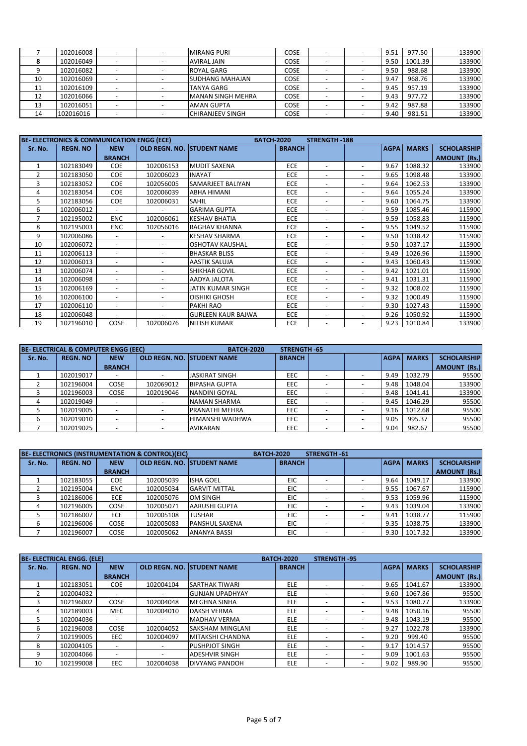|    | 102016008 |  | <b>MIRANG PURI</b>      | COSE        |  | 9.51 | 977.50  | 133900 |
|----|-----------|--|-------------------------|-------------|--|------|---------|--------|
|    | 102016049 |  | <b>AVIRAL JAIN</b>      | COSE        |  | 9.50 | 1001.39 | 133900 |
|    | 102016082 |  | <b>ROYAL GARG</b>       | <b>COSE</b> |  | 9.50 | 988.68  | 133900 |
| 10 | 102016069 |  | <b>SUDHANG MAHAJAN</b>  | COSE        |  | 9.47 | 968.76  | 133900 |
| 11 | 102016109 |  | <b>TANYA GARG</b>       | COSE        |  | 9.45 | 957.19  | 133900 |
| 12 | 102016066 |  | MANAN SINGH MEHRA       | <b>COSE</b> |  | 9.43 | 977.72  | 133900 |
| 13 | 102016051 |  | <b>AMAN GUPTA</b>       | <b>COSE</b> |  | 9.42 | 987.88  | 133900 |
| 14 | 102016016 |  | <b>CHIRANJEEV SINGH</b> | COSE        |  | 9.40 | 981.51  | 133900 |

|                | <b>BE-ELECTRONICS &amp; COMMUNICATION ENGG (ECE)</b> |                          |                          | <b>BATCH-2020</b>         |               | <b>STRENGTH-188</b>      |                              |             |              |                     |
|----------------|------------------------------------------------------|--------------------------|--------------------------|---------------------------|---------------|--------------------------|------------------------------|-------------|--------------|---------------------|
| Sr. No.        | <b>REGN. NO</b>                                      | <b>NEW</b>               | OLD REGN. NO.            | <b>ISTUDENT NAME</b>      | <b>BRANCH</b> |                          |                              | <b>AGPA</b> | <b>MARKS</b> | <b>SCHOLARSHIP</b>  |
|                |                                                      | <b>BRANCH</b>            |                          |                           |               |                          |                              |             |              | <b>AMOUNT (Rs.)</b> |
| $\mathbf{1}$   | 102183049                                            | <b>COE</b>               | 102006153                | <b>MUDIT SAXENA</b>       | <b>ECE</b>    |                          | $\overline{\phantom{0}}$     | 9.67        | 1088.32      | 133900              |
| $\overline{2}$ | 102183050                                            | <b>COE</b>               | 102006023                | <b>INAYAT</b>             | <b>ECE</b>    | $\overline{\phantom{a}}$ | $\overline{\phantom{a}}$     | 9.65        | 1098.48      | 133900              |
| 3              | 102183052                                            | <b>COE</b>               | 102056005                | <b>SAMARJEET BALIYAN</b>  | <b>ECE</b>    | $\overline{\phantom{a}}$ | $\overline{\phantom{a}}$     | 9.64        | 1062.53      | 133900              |
| 4              | 102183054                                            | <b>COE</b>               | 102006039                | <b>ABHA HIMANI</b>        | <b>ECE</b>    |                          | $\overline{\phantom{a}}$     | 9.64        | 1055.24      | 133900              |
| 5.             | 102183056                                            | <b>COE</b>               | 102006031                | <b>SAHIL</b>              | <b>ECE</b>    | $\overline{\phantom{a}}$ | $\overline{\phantom{a}}$     | 9.60        | 1064.75      | 133900              |
| 6              | 102006012                                            |                          |                          | <b>GARIMA GUPTA</b>       | <b>ECE</b>    | $\overline{\phantom{a}}$ | $\overline{\phantom{a}}$     | 9.59        | 1085.46      | 115900              |
| 7              | 102195002                                            | <b>ENC</b>               | 102006061                | <b>KESHAV BHATIA</b>      | <b>ECE</b>    |                          | $\overline{\phantom{a}}$     | 9.59        | 1058.83      | 115900              |
| 8              | 102195003                                            | <b>ENC</b>               | 102056016                | <b>RAGHAV KHANNA</b>      | <b>ECE</b>    | $\overline{\phantom{a}}$ | $\overline{\phantom{a}}$     | 9.55        | 1049.52      | 115900              |
| 9              | 102006086                                            |                          |                          | <b>KESHAV SHARMA</b>      | <b>ECE</b>    | $\overline{\phantom{a}}$ | $\overline{\phantom{a}}$     | 9.50        | 1038.42      | 115900              |
| 10             | 102006072                                            | $\overline{\phantom{0}}$ | $\overline{\phantom{a}}$ | <b>OSHOTAV KAUSHAL</b>    | ECE           | $\overline{\phantom{a}}$ | $\overline{\phantom{a}}$     | 9.50        | 1037.17      | 115900              |
| 11             | 102006113                                            |                          | $\overline{\phantom{a}}$ | <b>BHASKAR BLISS</b>      | ECE           | $\overline{\phantom{a}}$ | $\qquad \qquad \blacksquare$ | 9.49        | 1026.96      | 115900              |
| 12             | 102006013                                            |                          |                          | <b>AASTIK SALUJA</b>      | <b>ECE</b>    | $\overline{\phantom{a}}$ | $\overline{a}$               | 9.43        | 1060.43      | 115900              |
| 13             | 102006074                                            |                          | $\overline{\phantom{a}}$ | <b>SHIKHAR GOVIL</b>      | <b>ECE</b>    | $\overline{\phantom{a}}$ | $\overline{\phantom{a}}$     | 9.42        | 1021.01      | 115900              |
| 14             | 102006098                                            |                          | $\overline{\phantom{a}}$ | AADYA JALOTA              | <b>ECE</b>    | $\overline{\phantom{a}}$ | $\overline{\phantom{a}}$     | 9.41        | 1031.31      | 115900              |
| 15             | 102006169                                            |                          |                          | JATIN KUMAR SINGH         | <b>ECE</b>    |                          | $\overline{a}$               | 9.32        | 1008.02      | 115900              |
| 16             | 102006100                                            |                          | $\overline{\phantom{a}}$ | <b>OISHIKI GHOSH</b>      | <b>ECE</b>    | $\overline{\phantom{a}}$ | $\overline{\phantom{a}}$     | 9.32        | 1000.49      | 115900              |
| 17             | 102006110                                            |                          | $\overline{\phantom{a}}$ | PAKHI RAO                 | <b>ECE</b>    | $\overline{\phantom{a}}$ | $\overline{\phantom{a}}$     | 9.30        | 1027.43      | 115900              |
| 18             | 102006048                                            |                          |                          | <b>GURLEEN KAUR BAJWA</b> | <b>ECE</b>    | $\overline{\phantom{a}}$ | $\overline{\phantom{a}}$     | 9.26        | 1050.92      | 115900              |
| 19             | 102196010                                            | COSE                     | 102006076                | <b>NITISH KUMAR</b>       | <b>ECE</b>    | $\overline{\phantom{a}}$ | $\overline{\phantom{a}}$     | 9.23        | 1010.84      | 133900              |

|         | <b>BE-ELECTRICAL &amp; COMPUTER ENGG (EEC)</b> |               |           | <b>BATCH-2020</b>                  | STRENGTH 65   |                          |             |              |                     |
|---------|------------------------------------------------|---------------|-----------|------------------------------------|---------------|--------------------------|-------------|--------------|---------------------|
| Sr. No. | <b>REGN. NO</b>                                | <b>NEW</b>    |           | <b>OLD REGN. NO. ISTUDENT NAME</b> | <b>BRANCH</b> |                          | <b>AGPA</b> | <b>MARKS</b> | <b>SCHOLARSHIP</b>  |
|         |                                                | <b>BRANCH</b> |           |                                    |               |                          |             |              | <b>AMOUNT (Rs.)</b> |
|         | 102019017                                      |               |           | <b>JASKIRAT SINGH</b>              | <b>EEC</b>    |                          | 9.49        | 1032.79      | 95500               |
|         | 102196004                                      | COSE          | 102069012 | <b>BIPASHA GUPTA</b>               | EEC           |                          | 9.48        | 1048.04      | 133900              |
|         | 102196003                                      | COSE          | 102019046 | NANDINI GOYAL                      | EEC           |                          | 9.48        | 1041.41      | 133900              |
|         | 102019049                                      |               |           | NAMAN SHARMA                       | EEC           |                          | 9.45        | 1046.29      | 95500               |
|         | 102019005                                      |               |           | <b>PRANATHI MEHRA</b>              | EEC           |                          | 9.16        | 1012.68      | 95500               |
|         | 102019010                                      |               |           | HIMANSHI WADHWA                    | EEC           |                          | 9.05        | 995.37       | 95500               |
|         | 102019025                                      |               |           | <b>AVIKARAN</b>                    | EEC           | $\overline{\phantom{a}}$ | 9.04        | 982.67       | 95500               |

|         |                 |               | BE- ELECTRONICS (INSTRUMENTATION & CONTROL)(EIC) |                                    | <b>BATCH 2020</b> | STRENGTH 61 |                          |             |              |                     |
|---------|-----------------|---------------|--------------------------------------------------|------------------------------------|-------------------|-------------|--------------------------|-------------|--------------|---------------------|
| Sr. No. | <b>REGN. NO</b> | <b>NEW</b>    |                                                  | <b>OLD REGN. NO. ISTUDENT NAME</b> | <b>BRANCH</b>     |             |                          | <b>AGPA</b> | <b>MARKS</b> | <b>SCHOLARSHIP</b>  |
|         |                 | <b>BRANCH</b> |                                                  |                                    |                   |             |                          |             |              | <b>AMOUNT (Rs.)</b> |
|         | 102183055       | COE.          | 102005039                                        | <b>ISHA GOEL</b>                   | EIC               |             |                          | 9.64        | 1049.17      | 133900              |
|         | 102195004       | <b>ENC</b>    | 102005034                                        | <b>GARVIT MITTAL</b>               | EIC               |             |                          | 9.55        | 1067.67      | 115900              |
|         | 102186006       | <b>ECE</b>    | 102005076                                        | <b>OM SINGH</b>                    | EIC               |             |                          | 9.53        | 1059.96      | 115900              |
|         | 102196005       | <b>COSE</b>   | 102005071                                        | AARUSHI GUPTA                      | EIC               |             |                          | 9.43        | 1039.04      | 133900              |
|         | 102186007       | <b>ECE</b>    | 102005108                                        | <b>TUSHAR</b>                      | EIC               |             |                          | 9.41        | 1038.77      | 115900              |
| b       | 102196006       | <b>COSE</b>   | 102005083                                        | <b>PANSHUL SAXENA</b>              | <b>EIC</b>        |             | $\overline{\phantom{a}}$ | 9.35        | 1038.75      | 133900              |
|         | 102196007       | <b>COSE</b>   | 102005062                                        | <b>ANANYA BASSI</b>                | EIC               |             |                          | 9.30        | 1017.32      | 133900              |

|         | <b>BE-ELECTRICAL ENGG. (ELE)</b> |               |                          |                         | <b>BATCH-2020</b> | <b>STRENGTH-95</b>       |                          |             |              |                     |
|---------|----------------------------------|---------------|--------------------------|-------------------------|-------------------|--------------------------|--------------------------|-------------|--------------|---------------------|
| Sr. No. | <b>REGN. NO</b>                  | <b>NEW</b>    | OLD REGN. NO.            | <b>ISTUDENT NAME</b>    | <b>BRANCH</b>     |                          |                          | <b>AGPA</b> | <b>MARKS</b> | <b>SCHOLARSHIP</b>  |
|         |                                  | <b>BRANCH</b> |                          |                         |                   |                          |                          |             |              | <b>AMOUNT (Rs.)</b> |
|         | 102183051                        | <b>COE</b>    | 102004104                | <b>SARTHAK TIWARI</b>   | <b>ELE</b>        |                          |                          | 9.65        | 1041.67      | 133900              |
|         | 102004032                        |               |                          | <b>GUNJAN UPADHYAY</b>  | <b>ELE</b>        |                          |                          | 9.60        | 1067.86      | 95500               |
|         | 102196002                        | <b>COSE</b>   | 102004048                | <b>MEGHNA SINHA</b>     | <b>ELE</b>        |                          |                          | 9.53        | 1080.77      | 133900              |
| 4       | 102189003                        | <b>MEC</b>    | 102004010                | <b>DAKSH VERMA</b>      | <b>ELE</b>        | ۰                        | $\overline{\phantom{a}}$ | 9.48        | 1050.16      | 95500               |
|         | 102004036                        |               |                          | <b>MADHAV VERMA</b>     | <b>ELE</b>        |                          | $\overline{\phantom{0}}$ | 9.48        | 1043.19      | 95500               |
| 6       | 102196008                        | <b>COSE</b>   | 102004052                | <b>SAKSHAM MINGLANI</b> | <b>ELE</b>        |                          | $\overline{\phantom{a}}$ | 9.27        | 1022.78      | 133900              |
|         | 102199005                        | <b>EEC</b>    | 102004097                | MITAKSHI CHANDNA        | <b>ELE</b>        |                          |                          | 9.20        | 999.40       | 95500               |
| 8       | 102004105                        |               |                          | <b>PUSHPJOT SINGH</b>   | <b>ELE</b>        | $\overline{\phantom{a}}$ |                          | 9.17        | 1014.57      | 95500               |
| 9       | 102004066                        |               | $\overline{\phantom{a}}$ | <b>ADESHVIR SINGH</b>   | <b>ELE</b>        | ۰                        | $\overline{\phantom{0}}$ | 9.09        | 1001.63      | 95500               |
| 10      | 102199008                        | <b>EEC</b>    | 102004038                | <b>DIVYANG PANDOH</b>   | <b>ELE</b>        |                          |                          | 9.02        | 989.90       | 95500               |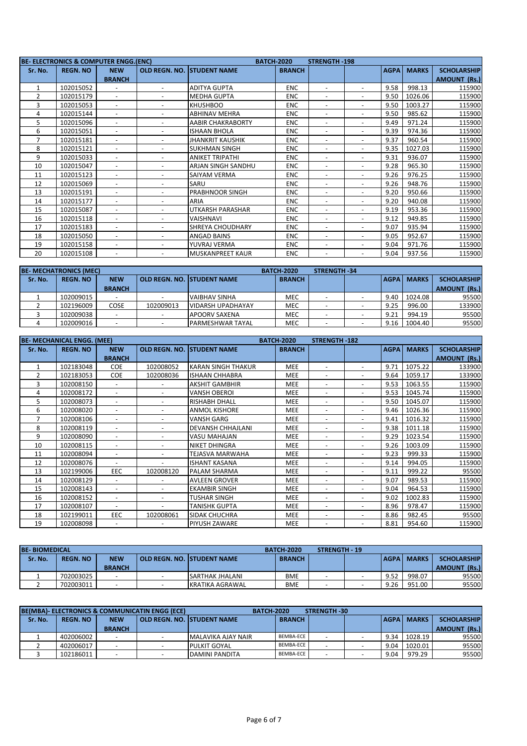|                | BE-ELECTRONICS & COMPUTER ENGG.(ENC) |                          |                          | <b>BATCH-2020</b>                  |               | <b>STRENGTH-198</b>      |                              |             |              |                     |
|----------------|--------------------------------------|--------------------------|--------------------------|------------------------------------|---------------|--------------------------|------------------------------|-------------|--------------|---------------------|
| Sr. No.        | <b>REGN. NO</b>                      | <b>NEW</b>               |                          | <b>OLD REGN. NO. ISTUDENT NAME</b> | <b>BRANCH</b> |                          |                              | <b>AGPA</b> | <b>MARKS</b> | <b>SCHOLARSHIP</b>  |
|                |                                      | <b>BRANCH</b>            |                          |                                    |               |                          |                              |             |              | <b>AMOUNT (Rs.)</b> |
|                | 102015052                            |                          |                          | <b>ADITYA GUPTA</b>                | <b>ENC</b>    | $\overline{\phantom{a}}$ | $\overline{\phantom{a}}$     | 9.58        | 998.13       | 115900              |
| $\overline{2}$ | 102015179                            |                          |                          | <b>MEDHA GUPTA</b>                 | <b>ENC</b>    |                          |                              | 9.50        | 1026.06      | 115900              |
| 3              | 102015053                            | $\overline{\phantom{m}}$ | $\overline{\phantom{a}}$ | <b>KHUSHBOO</b>                    | <b>ENC</b>    | $\overline{\phantom{a}}$ | $\overline{\phantom{a}}$     | 9.50        | 1003.27      | 115900              |
| 4              | 102015144                            | $\overline{a}$           | $\overline{\phantom{a}}$ | <b>ABHINAV MEHRA</b>               | <b>ENC</b>    | $\overline{\phantom{a}}$ | $\qquad \qquad \blacksquare$ | 9.50        | 985.62       | 115900              |
| 5              | 102015096                            | $\overline{a}$           | $\overline{\phantom{0}}$ | <b>AABIR CHAKRABORTY</b>           | <b>ENC</b>    | $\overline{\phantom{a}}$ | $\overline{\phantom{a}}$     | 9.49        | 971.24       | 115900              |
| 6              | 102015051                            |                          |                          | <b>ISHAAN BHOLA</b>                | <b>ENC</b>    |                          |                              | 9.39        | 974.36       | 115900              |
| $\overline{7}$ | 102015181                            | $\overline{\phantom{0}}$ | $\overline{\phantom{a}}$ | <b>JHANKRIT KAUSHIK</b>            | <b>ENC</b>    | $\overline{\phantom{a}}$ | $\overline{\phantom{a}}$     | 9.37        | 960.54       | 115900              |
| 8              | 102015121                            | $\overline{\phantom{0}}$ | $\overline{\phantom{a}}$ | <b>SUKHMAN SINGH</b>               | <b>ENC</b>    | $\overline{\phantom{a}}$ | $\qquad \qquad \blacksquare$ | 9.35        | 1027.03      | 115900              |
| 9              | 102015033                            | $\overline{a}$           | $\overline{\phantom{a}}$ | <b>ANIKET TRIPATHI</b>             | <b>ENC</b>    | $\overline{\phantom{a}}$ | $\overline{\phantom{a}}$     | 9.31        | 936.07       | 115900              |
| 10             | 102015047                            |                          |                          | ARJAN SINGH SANDHU                 | <b>ENC</b>    | $\overline{\phantom{a}}$ | $\overline{\phantom{a}}$     | 9.28        | 965.30       | 115900              |
| 11             | 102015123                            | $\overline{\phantom{0}}$ | $\overline{\phantom{a}}$ | SAIYAM VERMA                       | <b>ENC</b>    | $\overline{\phantom{a}}$ | $\overline{\phantom{a}}$     | 9.26        | 976.25       | 115900              |
| 12             | 102015069                            | $\overline{\phantom{0}}$ | $\overline{\phantom{a}}$ | SARU                               | <b>ENC</b>    | $\overline{\phantom{a}}$ | $\overline{\phantom{a}}$     | 9.26        | 948.76       | 115900              |
| 13             | 102015191                            | $\overline{a}$           | $\overline{\phantom{a}}$ | <b>PRABHNOOR SINGH</b>             | <b>ENC</b>    | $\overline{\phantom{a}}$ | $\overline{\phantom{a}}$     | 9.20        | 950.66       | 115900              |
| 14             | 102015177                            | $\overline{\phantom{0}}$ | $\overline{\phantom{a}}$ | <b>ARIA</b>                        | <b>ENC</b>    | $\overline{\phantom{a}}$ | $\overline{\phantom{a}}$     | 9.20        | 940.08       | 115900              |
| 15             | 102015087                            |                          |                          | <b>UTKARSH PARASHAR</b>            | <b>ENC</b>    |                          | $\overline{\phantom{a}}$     | 9.19        | 953.36       | 115900              |
| 16             | 102015118                            | $\overline{\phantom{0}}$ | $\overline{\phantom{a}}$ | <b>VAISHNAVI</b>                   | <b>ENC</b>    | $\overline{\phantom{a}}$ | $\overline{\phantom{a}}$     | 9.12        | 949.85       | 115900              |
| 17             | 102015183                            | $\overline{a}$           | $\overline{\phantom{a}}$ | SHREYA CHOUDHARY                   | <b>ENC</b>    | $\overline{\phantom{a}}$ | $\qquad \qquad \blacksquare$ | 9.07        | 935.94       | 115900              |
| 18             | 102015050                            | $\overline{\phantom{0}}$ | $\overline{\phantom{0}}$ | <b>ANGAD BAINS</b>                 | <b>ENC</b>    | $\overline{\phantom{a}}$ | $\overline{\phantom{a}}$     | 9.05        | 952.67       | 115900              |
| 19             | 102015158                            |                          |                          | YUVRAJ VERMA                       | <b>ENC</b>    |                          | $\overline{\phantom{a}}$     | 9.04        | 971.76       | 115900              |
| 20             | 102015108                            |                          |                          | <b>MUSKANPREET KAUR</b>            | <b>ENC</b>    | $\overline{\phantom{a}}$ | $\overline{\phantom{a}}$     | 9.04        | 937.56       | 115900              |

|         | <b>BE-MECHATRONICS (MEC)</b> |               |           |                                    |               | <b>STRENGTH -34</b>      |             |              |                     |
|---------|------------------------------|---------------|-----------|------------------------------------|---------------|--------------------------|-------------|--------------|---------------------|
| Sr. No. | <b>REGN. NO</b>              | <b>NEW</b>    |           | <b>OLD REGN. NO. ISTUDENT NAME</b> | <b>BRANCH</b> |                          | <b>AGPA</b> | <b>MARKS</b> | <b>SCHOLARSHIP</b>  |
|         |                              | <b>BRANCH</b> |           |                                    |               |                          |             |              | <b>AMOUNT (Rs.)</b> |
|         | 102009015                    |               |           | <b>VAIBHAV SINHA</b>               | MEC           |                          | 9.40        | 1024.08      | 95500               |
|         | 102196009                    | COSE          | 102009013 | <b>VIDARSH UPADHAYAY</b>           | <b>MEC</b>    |                          | 9.25        | 996.00       | 133900              |
|         | 102009038                    |               |           | <b>APOORV SAXENA</b>               | MEC           | $\overline{\phantom{0}}$ | 9.21        | 994.19       | 95500               |
|         | 102009016                    |               |           | <b>IPARMESHWAR TAYAL</b>           | <b>MEC</b>    |                          | 9.16        | 1004.40      | 95500               |

|                | <b>BE-MECHANICAL ENGG. (MEE)</b> |                          |                          |                           | <b>BATCH-2020</b> | <b>STRENGTH-182</b>      |                              |             |              |                     |
|----------------|----------------------------------|--------------------------|--------------------------|---------------------------|-------------------|--------------------------|------------------------------|-------------|--------------|---------------------|
| Sr. No.        | <b>REGN. NO</b>                  | <b>NEW</b>               | OLD REGN. NO.            | <b>STUDENT NAME</b>       | <b>BRANCH</b>     |                          |                              | <b>AGPA</b> | <b>MARKS</b> | <b>SCHOLARSHIP</b>  |
|                |                                  | <b>BRANCH</b>            |                          |                           |                   |                          |                              |             |              | <b>AMOUNT (Rs.)</b> |
|                | 102183048                        | <b>COE</b>               | 102008052                | <b>KARAN SINGH THAKUR</b> | <b>MEE</b>        |                          | $\overline{\phantom{a}}$     | 9.71        | 1075.22      | 133900              |
| $\overline{2}$ | 102183053                        | <b>COE</b>               | 102008036                | <b>ISHAAN CHHABRA</b>     | <b>MEE</b>        | $\overline{\phantom{a}}$ | $\overline{\phantom{0}}$     | 9.64        | 1059.17      | 133900              |
| 3              | 102008150                        |                          |                          | <b>AKSHIT GAMBHIR</b>     | <b>MEE</b>        | $\overline{\phantom{a}}$ | $\overline{\phantom{a}}$     | 9.53        | 1063.55      | 115900              |
| 4              | 102008172                        |                          |                          | <b>VANSH OBEROI</b>       | <b>MEE</b>        |                          | $\overline{\phantom{a}}$     | 9.53        | 1045.74      | 115900              |
| 5              | 102008073                        | $\overline{\phantom{0}}$ | $\overline{\phantom{a}}$ | <b>RISHABH DHALL</b>      | <b>MEE</b>        | $\overline{\phantom{a}}$ | $\overline{\phantom{a}}$     | 9.50        | 1045.07      | 115900              |
| 6              | 102008020                        |                          | $\overline{\phantom{a}}$ | <b>ANMOL KISHORE</b>      | <b>MEE</b>        | $\overline{\phantom{a}}$ | $\overline{\phantom{a}}$     | 9.46        | 1026.36      | 115900              |
| $\overline{7}$ | 102008106                        | $\overline{\phantom{0}}$ | $\overline{\phantom{a}}$ | <b>VANSH GARG</b>         | <b>MEE</b>        | $\overline{\phantom{a}}$ | $\overline{\phantom{a}}$     | 9.41        | 1016.32      | 115900              |
| 8              | 102008119                        |                          |                          | <b>DEVANSH CHHAJLANI</b>  | <b>MEE</b>        | $\overline{\phantom{a}}$ | $\overline{\phantom{a}}$     | 9.38        | 1011.18      | 115900              |
| 9              | 102008090                        |                          |                          | <b>VASU MAHAJAN</b>       | <b>MEE</b>        |                          |                              | 9.29        | 1023.54      | 115900              |
| 10             | 102008115                        | $\overline{\phantom{m}}$ | $\overline{\phantom{a}}$ | <b>NIKET DHINGRA</b>      | <b>MEE</b>        | $\overline{\phantom{a}}$ | $\qquad \qquad \blacksquare$ | 9.26        | 1003.09      | 115900              |
| 11             | 102008094                        | $\overline{a}$           | $\overline{\phantom{0}}$ | <b>TEJASVA MARWAHA</b>    | <b>MEE</b>        | $\overline{\phantom{a}}$ | $\overline{\phantom{a}}$     | 9.23        | 999.33       | 115900              |
| 12             | 102008076                        |                          |                          | <b>ISHANT KASANA</b>      | <b>MEE</b>        |                          | $\overline{\phantom{a}}$     | 9.14        | 994.05       | 115900              |
| 13             | 102199006                        | <b>EEC</b>               | 102008120                | PALAM SHARMA              | <b>MEE</b>        | $\overline{\phantom{a}}$ | $\qquad \qquad \blacksquare$ | 9.11        | 999.22       | 95500               |
| 14             | 102008129                        |                          |                          | <b>AVLEEN GROVER</b>      | <b>MEE</b>        |                          |                              | 9.07        | 989.53       | 115900              |
| 15             | 102008143                        |                          | $\overline{\phantom{a}}$ | <b>EKAMBIR SINGH</b>      | <b>MEE</b>        | $\overline{\phantom{0}}$ | $\overline{\phantom{0}}$     | 9.04        | 964.53       | 115900              |
| 16             | 102008152                        |                          | $\overline{\phantom{a}}$ | <b>TUSHAR SINGH</b>       | <b>MEE</b>        | $\overline{\phantom{a}}$ | $\overline{\phantom{0}}$     | 9.02        | 1002.83      | 115900              |
| 17             | 102008107                        |                          |                          | <b>TANISHK GUPTA</b>      | <b>MEE</b>        | $\overline{\phantom{a}}$ | $\overline{\phantom{a}}$     | 8.96        | 978.47       | 115900              |
| 18             | 102199011                        | <b>EEC</b>               | 102008061                | SIDAK CHUCHRA             | <b>MEE</b>        | $\overline{\phantom{a}}$ | -                            | 8.86        | 982.45       | 95500               |
| 19             | 102008098                        |                          |                          | PIYUSH ZAWARE             | <b>MEE</b>        |                          |                              | 8.81        | 954.60       | 115900              |

|         | <b>BE-BIOMEDICAL</b><br><b>BATCH 2020</b> |               |  |                                     |               | <b>STRENGTH - 19</b> |      |                     |                     |
|---------|-------------------------------------------|---------------|--|-------------------------------------|---------------|----------------------|------|---------------------|---------------------|
| Sr. No. | <b>REGN. NO</b>                           | <b>NEW</b>    |  | <b>LOLD REGN. NO. ISTUDENT NAME</b> | <b>BRANCH</b> |                      |      | <b>LAGPAL MARKS</b> | <b>SCHOLARSHIP</b>  |
|         |                                           | <b>BRANCH</b> |  |                                     |               |                      |      |                     | <b>AMOUNT (Rs.)</b> |
|         | 702003025                                 |               |  | ISARTHAK JHALANI                    | <b>BME</b>    |                      | 9.52 | 998.07              | 95500               |
|         | 702003011                                 |               |  | KRATIKA AGRAWAL                     | <b>BME</b>    |                      | 9.26 | 951.00              | 95500               |

| BE(MBA)- ELECTRONICS & COMMUNICATIN ENGG (ECE) |                 |               | <b>BATCH 2020</b>             |               | STRENGTH 30 |               |              |                     |
|------------------------------------------------|-----------------|---------------|-------------------------------|---------------|-------------|---------------|--------------|---------------------|
| Sr. No.                                        | <b>REGN. NO</b> | <b>NEW</b>    | l OLD REGN. NO. ISTUDENT NAME | <b>BRANCH</b> |             | <b>AGPA</b> I | <b>MARKS</b> | <b>SCHOLARSHIP</b>  |
|                                                |                 | <b>BRANCH</b> |                               |               |             |               |              | <b>AMOUNT (Rs.)</b> |
|                                                | 402006002       |               | IMALAVIKA AJAY NAIR           | BEMBA-ECE     |             | 9.34          | 1028.19      | 95500               |
|                                                | 402006017       |               | <b>PULKIT GOYAL</b>           | BEMBA-ECE     |             | 9.04          | 1020.01      | 95500               |
|                                                | 102186011       |               | DAMINI PANDITA                | BEMBA-ECE     |             | 9.04          | 979.29       | 95500               |